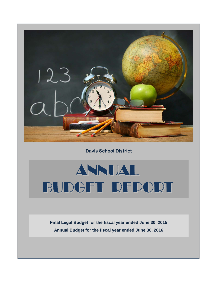

**Davis School District**

# ANNUAL BUDGET REPORT

**Annual Budget for the fiscal year ended June 30, 2016 Final Legal Budget for the fiscal year ended June 30, 2015**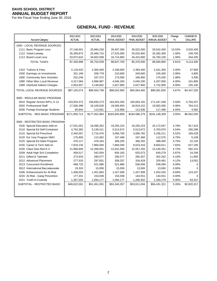For the Fiscal Year Ending June 30, 2016

# **GENERAL FUND - REVENUE**

| <b>Account Category</b>                                          | 2012-2013<br><b>ACTUAL</b> | 2013-2014<br><b>ACTUAL</b> | 2014-2015<br><b>INITIAL BUDGET</b> | 2014-2015<br><b>FINAL BUDGET</b> | 2015-2016<br>ANNUAL BUDGET | Change<br>%    | <b>CHANGE IN</b><br><b>DOLLARS</b> |
|------------------------------------------------------------------|----------------------------|----------------------------|------------------------------------|----------------------------------|----------------------------|----------------|------------------------------------|
| 1000 - LOCAL REVENUE SOURCES:                                    |                            |                            |                                    |                                  |                            |                |                                    |
| 1111 Basic Program Levy                                          | 27,148,501                 | 25,684,230                 | 26,407,300                         | 26,022,000                       | 29,542,400                 | 13.53%         | 3,520,400                          |
| 1112 Voted Leeway                                                | 26,309,873                 | 25,466,710                 | 27,525,500                         | 25,032,600                       | 25,282,300                 | 1.00%          | 249,700                            |
| 1113 Board Local Levy                                            | 33,972,624                 | 34,602,599                 | 34,714,900                         | 34,415,900                       | 34,760,100                 | 1.00%          | 344,200                            |
| <b>TOTAL TAXES</b>                                               | 87,430,998                 | 85,753,539                 | 88,647,700                         | 85,470,500                       | 89,584,800                 | 4.81%          | 4,114,300                          |
|                                                                  |                            |                            |                                    |                                  |                            |                |                                    |
| 1310 Tuitions & Fees                                             | 2,118,420                  | 2,300,400<br>206,778       | 2,338,600<br>210,600               | 2,393,400                        | 2,441,300                  | 2.00%<br>2.00% | 47,900                             |
| 1500 Earnings on Investments<br>1800 Community Serv Activities   | 331,169                    |                            | 173,000                            | 240,600                          | 245,400                    | 1.98%          | 4,800<br>3,300                     |
|                                                                  | 252,246                    | 167,372                    |                                    | 166,900                          | 170,200                    |                |                                    |
| 1990 Other Misc Local Revenue<br>1999 Interfund Indirect Charges | 4,317,584<br>2,654,657     | 4,996,987<br>3,139,662     | 4,045,200                          | 4,045,200                        | 4,207,000<br>2,732,900     | 4.00%<br>4.00% | 161,800                            |
|                                                                  |                            |                            | 2,627,800                          | 2,627,800                        |                            |                | 105,100                            |
| TOTAL LOCAL REVENUE SOURCES.                                     | \$97,105,074               | \$96,564,738               | \$98,042,900                       | \$94,944,400                     | \$99,381,600               | 4.67%          | \$4,437,200                        |
| 3000 - REGULAR BASIC PROGRAM                                     |                            |                            |                                    |                                  |                            |                |                                    |
| 3010 Regular School WPU, K-12                                    | 153,933,372                | 158,830,273                | 164,924,250                        | 165,654,191                      | 171,447,448                | 3.50%          | 5,793,257                          |
| 3020 Professional Staff                                          | 17,926,398                 | 18,109,630                 | 18,565,650                         | 18,819,152                       | 19,583,365                 | 4.06%          | 764,213                            |
| 3030 Foreign Exchange Students                                   | 90,944                     | 113,061                    | 115,908                            | 112,936                          | 117,496                    | 4.04%          | 4,560                              |
| SUBTOTAL - REG BASIC PROGRAM                                     | \$171.950.714              | \$177,052,964              | \$183,605,808                      | \$184.586.279                    | \$191.148.309              | 3.55%          | \$6,562,030                        |
|                                                                  |                            |                            |                                    |                                  |                            |                |                                    |
| 3000 - RESTRICTED BASIC PROGRAM                                  |                            |                            |                                    |                                  |                            |                |                                    |
| 3105 Special Education Add-on                                    | 17,531,001                 | 18,496,352                 | 19,255,224                         | 19,255,224                       | 20,172,647                 | 4.76%          | 917,423                            |
| 3110 Special Ed Self-Contained                                   | 4,763,382                  | 5,139,411                  | 5,513,672                          | 5,513,672                        | 5,763,970                  | 4.54%          | 250,298                            |
| 3115 Special Ed Preschool                                        | 2,440,567                  | 2,716,476                  | 3,066,783                          | 3,066,782                        | 3,236,211                  | 5.52%          | 169,429                            |
| 3120 Ext Year Program-SMH                                        | 175,605                    | 113,362                    | 107,468                            | 107,466                          | 112,575                    | 4.75%          | 5,109                              |
| 3125 Special Ed State Program                                    | 476,117                    | 478,164                    | 466,255                            | 466,255                          | 488,400                    | 4.75%          | 22,145                             |
| 3155 Career & Tech Add-on                                        | 7,818,135                  | 7,884,040                  | 7,884,040                          | 8,023,416                        | 8,650,611                  | 7.82%          | 627,195                            |
| 3230 Class-Size Red K-3                                          | 11,966,846                 | 12,266,001                 | 12,631,000                         | 12,557,250                       | 13,149,351                 | 4.72%          | 592,101                            |
| 3209 Adult High Sch Completion                                   | 458,517                    | 542,054                    | 604,183                            | 625,073                          | 649,279                    | 3.87%          | 24,206                             |
| 3211 Gifted & Talented                                           | 273,933                    | 280,577                    | 290,577                            | 290,357                          | 302,262                    | 4.10%          | 11,905                             |
| 3212 Advanced Placement                                          | 277,533                    | 297,831                    | 308,257                            | 316,429                          | 329,481                    | 4.12%          | 13,052                             |
| 3213 Concurrent Enrollment                                       | 468,725                    | 521,686                    | 521,686                            | 536,094                          | 536,094                    | 0.00%          | 0                                  |
| 3612 International Baccalaureate                                 | 19,324                     | 15,059                     | 15,059                             | 13,565                           | 13,565                     | 0.00%          | $\Omega$                           |
| 3336 Enhancement for At-Risk                                     | 1,408,020                  | 1,451,863                  | 1,427,938                          | 1,427,938                        | 1,552,045                  | 8.69%          | 124,107                            |
| 3220 At-Risk - Gang Prevention                                   | 177,331                    | 154,038                    | 154,038                            | 144,551                          | 144,551                    | 0.00%          |                                    |
| 3221 Youth-in-Custody                                            | 1,367,555                  | 1,094,177                  | 1,094,177                          | 1,266,932                        | 1,330,279                  | 5.00%          | 63,347                             |
| SUBTOTAL - RESTRICTED BASIC                                      | \$49,622,591               | \$51,451,091               | \$53,340,357                       | \$53,611,004                     | \$56,431,321               | 5.26%          | \$2,820,317                        |
|                                                                  |                            |                            |                                    |                                  |                            |                |                                    |
|                                                                  |                            |                            |                                    |                                  |                            |                |                                    |
|                                                                  |                            |                            |                                    |                                  |                            |                |                                    |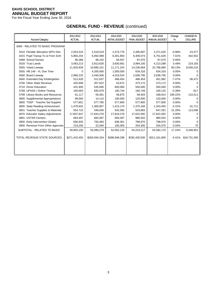For the Fiscal Year Ending June 30, 2016

# **GENERAL FUND - REVENUE** (continued)

|                                           | 2012-2013     | 2013-2014     | 2014-2015             | 2014-2015           | 2015-2016     | Change   | <b>CHANGE IN</b> |
|-------------------------------------------|---------------|---------------|-----------------------|---------------------|---------------|----------|------------------|
| <b>Account Category</b>                   | <b>ACTUAL</b> | <b>ACTUAL</b> | <b>INITIAL BUDGET</b> | <b>FINAL BUDGET</b> | ANNUAL BUDGET | %        | <b>DOLLARS</b>   |
| 3000 - RELATED TO BASIC PROGRAM           |               |               |                       |                     |               |          |                  |
| 3410 Flexible Allocation WPU Dist         | 2,553,516     | 2,518,519     | 2,474,776             | 2,495,897           | 2,471,520     | $-0.98%$ | $-24,377$        |
| 3415 Pupil Transp-To & From Schl          | 5,855,204     | 6,092,989     | 6,301,850             | 6,309,074           | 6,751,626     | 7.01%    | 442,552          |
| 3468 School Nurses                        | 96,388        | 88,102        | 84,057                | 87,070              | 87,070        | 0.00%    | ∩                |
| 3520 Trust Lands                          | 3,063,213     | 3,913,626     | 3,830,661             | 3,994,105           | 4,213,288     | 5.49%    | 219,183          |
| 3555 Voted Leeway                         | 11,920,929    | 10,890,151    | 11,171,324            | 14,230,664          | 22,786,880    | 60.13%   | 8,556,216        |
| 3555 HB 149 - VL One Time                 | 0             | 4,200,000     | 1,000,000             | 634,316             | 634,316       | 0.00%    |                  |
| 3560 Board Leeway                         | 2,980,232     | 3,440,506     | 4,019,524             | 2,638,795           | 2,638,795     | 0.00%    |                  |
| 3640 Extended Day Kindergarten            | 512,428       | 511,637       | 488,454               | 488,454             | 451,982       | $-7.47%$ | $-36,472$        |
| <b>Other State Revenue</b><br>3700        | 420,699       | 357,622       | 53,672                | 373,172             | 373,172       | 0.00%    |                  |
| 3710 Driver Education                     | 431,900       | 535,695       | 600,000               | 550,000             | 550,000       | 0.00%    | ∩                |
| 3799 UPASS / Online Testing               | 165,683       | 835,979       | 160,744               | 160,749             | 160,132       | $-0.38%$ | $-617$           |
| 3799 Library Books and Resources          | 61,117        | 59,361        | 58,875                | 58,403              | 168,914       | 189.22%  | 110,511          |
| 3800 Supplemental Appropriations          | 99,000        | 14,114        | 190,000               | 120,000             | 120,000       | 0.00%    | ∩                |
| <b>TSSP - Teacher Sal Supplmt</b><br>3800 | 577,851       | 577,785       | 577,800               | 577,800             | 577,800       | 0.00%    |                  |
| 3805 State Reading Achievement            | 1,479,932     | 1,365,857     | 1,413,170             | 1,375,166           | 1,343,455     | $-2.31%$ | $-31,711$        |
| 3851 Teacher Supplies & Materials         | 554,723       | 546,040       | 542,092               | 533,683             | 647,281       | 21.29%   | 113,598          |
| 3876 Educator Salary Adjustments          | 17,607,647    | 17,643,276    | 17,643,276            | 17,622,092          | 17,622,092    | 0.00%    |                  |
| 3881 USTAR Centers                        | 683,497       | 683,497       | 683,497               | 980,502             | 980,502       | 0.00%    |                  |
| 3900 Early Intervention (State)           | 566,935       | 793,483       | 608,361               | 798,970             | 798,970       | 0.00%    | 0                |
| 3900 Revenue From Other Agencies          | 219,256       | 22,040        | 100,000               | 204,305             | 204,375       | 0.03%    | 70               |
| SUBTOTAL - RELATED TO BASIC               | 49,850,150    | 55,090,279    | 52,002,133            | 54,233,217          | 63,582,170    | 17.24%   | 9,348,953        |
| TOTAL REVENUE STATE SOURCES               | \$271,423,455 | \$283,594,334 | \$288,948,298         | \$292,430,500       | \$311,161,800 | 6.41%    | \$18,731,300     |
|                                           |               |               |                       |                     |               |          |                  |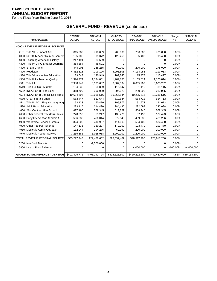For the Fiscal Year Ending June 30, 2016

# **GENERAL FUND - REVENUE** (continued)

| <b>Account Category</b>                   | 2012-2013<br><b>ACTUAL</b> | 2013-2014<br><b>ACTUAL</b> | 2014-2015<br><b>INITIAL BUDGET</b> | 2014-2015<br><b>FINAL BUDGET</b> | 2015-2016<br>ANNUAL BUDGET | Change<br>% | <b>CHANGE IN</b><br><b>DOLLARS</b> |
|-------------------------------------------|----------------------------|----------------------------|------------------------------------|----------------------------------|----------------------------|-------------|------------------------------------|
|                                           |                            |                            |                                    |                                  |                            |             |                                    |
| 4000 - REVENUE FEDERAL SOURCES:           |                            |                            |                                    |                                  |                            |             |                                    |
| 4101 Title VIII - Impact Aid              | 815,982                    | 718,069                    | 700,000                            | 700.000                          | 700.000                    | 0.00%       | ∩                                  |
| <b>ROTC Teacher Reimbursement</b><br>4300 | 155,703                    | 95,372                     | 129,250                            | 95,400                           | 95,400                     | 0.00%       | ∩                                  |
| 4300 Teaching American History            | 247,494                    | 83,609                     | 0                                  | 0                                | 0                          | 0.00%       | 0                                  |
| 4300 Title IV D-NC Smaller Learning       | 354,884                    | 45,591                     | 0                                  | 0                                | $\Omega$                   | 0.00%       | 0                                  |
| 4300 STEM Grants                          | 448,006                    | 268,285                    | 400,000                            | 275,000                          | 275,000                    | 0.00%       | 0                                  |
| 4320 Headstart                            | 4,362,515                  | 4,109,126                  | 4,095,508                          | 4,113,053                        | 4,113,053                  | 0.00%       | 0                                  |
| 4330 Title VII A - Indian Education       | 89,643                     | 140,949                    | 109,740                            | 115,477                          | 115,477                    | 0.00%       | 0                                  |
| 4500 Title II A - Teacher Quality         | 1,374,274                  | 1,194,051                  | 1,269,880                          | 1,165,014                        | 1,165,014                  | 0.00%       | 0                                  |
| 4511 Title   A                            | 7,988,249                  | 6,335,637                  | 6,387,534                          | 6,605,202                        | 6,605,202                  | 0.00%       | 0                                  |
| 4519 Title I C SC - Migrant               | 154,338                    | 68,839                     | 116,547                            | 31,115                           | 31,115                     | 0.00%       | 0                                  |
| 4522 IDEA Part B - Pre-Schl               | 318,799                    | 296,020                    | 296,020                            | 289,995                          | 289,995                    | 0.00%       | 0                                  |
| 4524 IDEA Part B Special Ed Formula       | 10,684,696                 | 10,068,516                 | 10,065,844                         | 10,235,516                       | 10,235,516                 | 0.00%       | 0                                  |
| 4530 CTE Federal Funds                    | 553,447                    | 512,644                    | 512,644                            | 564,713                          | 564,713                    | 0.00%       | 0                                  |
| 4541 Title III SC - English Lang. Acq     | 163,123                    | 150,470                    | 195,877                            | 191,673                          | 191,673                    | 0.00%       | 0                                  |
| 4580 Adult Basic Education                | 283,115                    | 314,430                    | 284,430                            | 232,098                          | 232,098                    | 0.00%       | 0                                  |
| 4600 21st Century After School            | 627,190                    | 568,345                    | 513,369                            | 568,345                          | 568,345                    | 0.00%       | 0                                  |
| 4600 Other Federal Rev (thru State)       | 270,090                    | 55,217                     | 136,426                            | 137,493                          | 137,493                    | 0.00%       | 0                                  |
| 4600 Early Intervention (Federal)         | 566,935                    | 466,014                    | 577,943                            | 469,236                          | 469,236                    | 0.00%       | 0                                  |
| 4900 Workforce Services Grants            | 324,000                    | 410,937                    | 414,000                            | 534,400                          | 534,400                    | 0.00%       | ∩                                  |
| 4900 Other Federal Revenue                | 147,135                    | 360,297                    | 172,200                            | 193,470                          | 193,470                    | 0.00%       | 0                                  |
| 4930 Medicaid Admin Outreach              | 112,044                    | 194,276                    | 60,190                             | 200,000                          | 200,000                    | 0.00%       | 0                                  |
| 4940 Medicaid Fee for Service             | 3,235,581                  | 3,025,958                  | 2,200,000                          | 2,200,000                        | 2,200,000                  | 0.00%       | 0                                  |
| TOTAL REVENUE FEDERAL SOURCE              | \$33,277,243               | \$29,482,652               | \$28,637,402                       | \$28,917,200                     | \$28,917,200               | 0.00%       | $\Omega$                           |
| 5200 Interfund Transfer                   | 0                          | $-1,500,000$               | 0                                  | 0                                | $\Omega$                   | 0.00%       | ∩                                  |
| 5800 Use of Fund Balance                  | $\Omega$                   | 0                          | 0                                  | 4,000,000                        | $\Omega$                   | $-100.00\%$ | $-4,000,000$                       |
| <b>GRAND TOTAL REVENUE - GENERAL</b>      | \$401,805,772              | \$408,141,724              | \$415,628,600                      | \$420,292,100                    | \$439,460,600              |             | 4.56% \$19,168,500                 |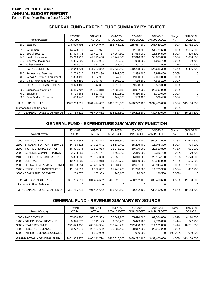For the Fiscal Year Ending June 30, 2016

## **GENERAL FUND - EXPENDITURE SUMMARY BY OBJECT**

|     |                                | 2012-2013     | 2013-2014     | 2014-2015             | 2014-2015           | 2015-2016     | Change   | <b>CHANGE IN</b> |
|-----|--------------------------------|---------------|---------------|-----------------------|---------------------|---------------|----------|------------------|
|     | <b>Account Category</b>        | <b>ACTUAL</b> | <b>ACTUAL</b> | <b>INITIAL BUDGET</b> | <b>FINAL BUDGET</b> | ANNUAL BUDGET | %        | <b>DOLLARS</b>   |
| 100 | Salaries                       | 246,090,795   | 246,404,049   | 252,465,720           | 255,687,100         | 268,449,100   | 4.99%    | 12,762,000       |
| 210 | Retirement                     | 44,578,379    | 47,920,971    | 52,277,300            | 52,133,700          | 54,739,600    | 5.00%    | 2,605,900        |
| 220 | Social Security                | 17,494,476    | 17,492,717    | 17,954,300            | 17,938,000          | 18,834,500    | 5.00%    | 896,500          |
| 240 | Health Insurance               | 45,216,713    | 44,796,458    | 47,749,500            | 47,816,200          | 50,685,000    | 6.00%    | 2,868,800        |
| 270 | Industrial Insurance           | 1,085,325     | 1,233,001     | 916,200               | 983,300             | 1,003,700     | 2.07%    | 20,400           |
| 280 | <b>Other Benefits</b>          | 674,631       | 337,705       | 542,200               | 357,600             | 372,500       | 4.17%    | 14,900           |
|     | <b>TOTAL BENEFITS</b>          | 109,049,524   | 111,780,852   | 119,439,500           | 119,228,800         | 125,635,300   | 5.37%    | 6,406,500        |
| 300 | <b>Professional Services</b>   | 2,768,510     | 2,902,496     | 2,767,000             | 2,939,400           | 2,939,400     | $0.00\%$ |                  |
| 400 | Repair / Rental of Equipment   | 1,898,490     | 1,992,951     | 2,047,100             | 2,050,800           | 2,050,800     | 0.00%    |                  |
| 500 | Misc. Purchased Services       | 4,353,182     | 3,947,354     | 4,505,000             | 4,568,100           | 4,568,100     | 0.00%    | 0                |
|     | TOTAL PURCHASED SERV.          | 9,020,182     | 8,842,801     | 9,319,100             | 9,558,300           | 9,558,300     | $0.00\%$ | 0                |
| 600 | Supplies & Materials           | 26,415,407    | 28,805,318    | 27,835,180            | 28,997,900          | 28,997,900    | $0.00\%$ | 0                |
| 700 | Equipment                      | 6,723,663     | 5,621,374     | 6,119,500             | 6,310,600           | 6,310,600     | 0.00%    |                  |
| 800 | Fees & Misc. Expenses          | 466,940       | 40,258        | 449,600               | 509,400             | 509,400       | 0.00%    | 0                |
|     | <b>TOTAL EXPENDITURES</b>      | \$397,766,511 | \$401,494,652 | \$415,628,600         | \$420,292,100       | \$439,460,600 | 4.56%    | \$19,168,500     |
|     | Increase to Fund Balance       | 0             | 0             | <sup>0</sup>          | $\Omega$            | 0             | 0.00%    | 0                |
|     | TOTAL EXPENDITURES & OTHER USE | 397,766,511   | 401,494,652   | 415,628,600           | 420,292,100         | 439,460,600   | 4.56%    | 19,168,500       |

# **GENERAL FUND - EXPENDITURE SUMMARY BY FUNCTION**

|                                 | 2012-2013     | 2013-2014     | 2014-2015             | 2014-2015           | 2015-2016     | Change   | <b>CHANGE IN</b> |
|---------------------------------|---------------|---------------|-----------------------|---------------------|---------------|----------|------------------|
| <b>Account Category</b>         | <b>ACTUAL</b> | <b>ACTUAL</b> | <b>INITIAL BUDGET</b> | <b>FINAL BUDGET</b> | ANNUAL BUDGET | ℅        | <b>DOLLARS</b>   |
| 1000 - INSTRUCTION              | 274,272,646   | 276,219,378   | 285,695,800           | 288,843,200         | 302,517,000   | 4.73%    | 13,673,800       |
| 2100 - STUDENT SUPPORT SERVICES | 14,738,515    | 14,703,541    | 15,189,400            | 15,296,400          | 16,075,300    | 5.09%    | 778,900          |
| 2200 - INSTRUCTIONAL SUPPORT    | 16,995,074    | 17,802,063    | 18,276,300            | 19,579,000          | 20,510,800    | 4.76%    | 931,800          |
| 2300 - GENERAL ADMINISTRATION   | 2,583,855     | 2,171,447     | 2,562,800             | 2,316,200           | 2,386,700     | 3.04%    | 70,500           |
| 2400 - SCHOOL ADMINISTRATION    | 25,380,335    | 26,037,360    | 26,658,900            | 26,810,300          | 28,184,100    | 5.12%    | 1,373,800        |
| <b>2500 - CENTRAL</b>           | 12,284,036    | 12,561,013    | 13,219,700            | 13,350,600          | 13,945,900    | 4.46%    | 595,300          |
| 2600 - OPERATIONS & MAINTENANCE | 40,108,854    | 40,479,639    | 42,034,400            | 42,651,900          | 43,943,400    | 3.03%    | 1,291,500        |
| 2700 - STUDENT TRANSPORTATION   | 11,134,619    | 11,332,852    | 11,743,200            | 11,248,000          | 11,700,900    | 4.03%    | 452,900          |
| 3300 - COMMUNITY SERVICES       | 268,577       | 187,359       | 248,100               | 196,500             | 196,500       | $0.00\%$ |                  |
| <b>TOTAL EXPENDITURES</b>       | 397,766,511   | 401,494,652   | 415,628,600           | 420,292,100         | 439,460,600   | 4.56%    | 19,168,500       |
| Increase to Fund Balance        |               |               |                       | 0                   |               |          |                  |
| TOTAL EXPENDITURES & OTHER USI  | 397,766,511   | 401,494,652   | 415,628,600           | 420,292,100         | 439,460,600   | 4.56%    | 19,168,500       |

# **GENERAL FUND - REVENUE SUMMARY BY SOURCE**

| <b>Account Category</b>                                                                                                            | 2012-2013<br><b>ACTUAL</b>                           | 2013-2014<br><b>ACTUAL</b>                                            | 2014-2015<br><b>INITIAL BUDGET</b>                   | 2014-2015<br><b>FINAL BUDGET</b>                                  | 2015-2016<br>ANNUAL BUDGET                           | Change<br>%                                        | CHANGE IN<br><b>DOLLARS</b>                        |
|------------------------------------------------------------------------------------------------------------------------------------|------------------------------------------------------|-----------------------------------------------------------------------|------------------------------------------------------|-------------------------------------------------------------------|------------------------------------------------------|----------------------------------------------------|----------------------------------------------------|
| 1000 - TAX REVENUE<br>1900 - OTHER LOCAL REVENUE<br>3000 - STATE REVENUE<br>4000 - FEDERAL REVENUE<br>5000 - OTHER REVENUE SOURCES | 87,430,998<br>9,674,076<br>271,423,455<br>33.277.243 | 85,753,539<br>10,811,199<br>283,594,334<br>29,482,652<br>$-1.500.000$ | 88,647,700<br>9,395,200<br>288,948,298<br>28,637,402 | 85,470,500<br>9,473,900<br>292,430,500<br>28,917,200<br>4,000,000 | 89,584,800<br>9,796,800<br>311,161,800<br>28,917,200 | 4.81%<br>3.41%<br>6.41%<br>$0.00\%$<br>$-100.00\%$ | 4,114,300<br>322,900<br>18,731,300<br>$-4,000,000$ |
| <b>GRAND TOTAL - GENERAL FUND</b>                                                                                                  | \$401,805,772                                        | \$408,141,724                                                         | \$415,628,600                                        | \$420,292,100                                                     | \$439,460,600                                        | 4.56%                                              | \$19,168,500                                       |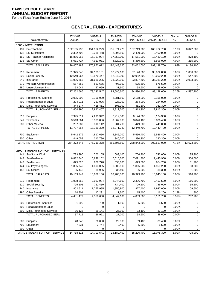For the Fiscal Year Ending June 30, 2016

# **GENERAL FUND - EXPENDITURES**

|            | <b>Account Category</b>            | 2012-2013<br>ACTUAL  | 2013-2014<br><b>ACTUAL</b> | 2014-2015<br><b>INITIAL BUDGET</b> | 2014-2015<br><b>FINAL BUDGET</b> | 2015-2016<br>ANNUAL BUDGET | Change<br>$\%$ | <b>CHANGE IN</b><br><b>DOLLARS</b> |
|------------|------------------------------------|----------------------|----------------------------|------------------------------------|----------------------------------|----------------------------|----------------|------------------------------------|
|            |                                    |                      |                            |                                    |                                  |                            |                |                                    |
| 131        | 1000 - INSTRUCTION<br>Sal-Teachers | 152, 155, 790        | 151,962,229                | 155,874,720                        | 157,719,900                      | 165,762,700                | 5.10%          | 8,042,800                          |
| 132        | Sal-Substitutes                    | 2,382,708            | 2,238,458                  | 2,395,800                          | 2,400,900                        | 2,400,900                  | 0.00%          | 0                                  |
| 160        | Sal-Teacher Assistants             | 16,886,963           | 16,757,994                 | 17,358,000                         | 17,561,000                       | 18,439,100                 | 5.00%          | 878,100                            |
|            | 138 Sal-Other                      | 5,031,727            | 4,913,931                  | 4,820,100                          | 5,380,800                        | 5,596,000                  | 4.00%          | 215,200                            |
|            | <b>TOTAL SALARIES</b>              | 176,457,188          | 175,872,612                | 180,448,620                        | 183,062,600                      | 192,198,700                | 4.99%          | 9,136,100                          |
|            |                                    |                      |                            |                                    |                                  |                            |                |                                    |
| 210        | Retirement                         | 31,975,048           | 34,173,161                 | 37,277,100                         | 37,126,500                       | 38,982,800                 | 5.00%          | 1,856,300                          |
| 220        | Social Security                    | 12,649,967           | 12,570,447                 | 12,949,300                         | 12,952,600                       | 13,600,200                 | 5.00%          | 647,600                            |
| 240        | Insurance                          | 31,996,655           | 31,639,205                 | 33,923,900                         | 33,897,400                       | 35,931,200                 | 6.00%          | 2,033,800                          |
| 270        | <b>Workers Compensation</b>        | 587,852              | 823,635                    | 498,100                            | 575,500                          | 575,500                    | 0.00%          | 0                                  |
| 280        | Unemployment Ins                   | 53,044               | 27,099                     | 31,900                             | 38,900                           | 38,900                     | 0.00%          | 0                                  |
|            | <b>TOTAL BENEFITS</b>              | 77,262,566           | 79,233,547                 | 84,680,300                         | 84,590,900                       | 89,128,600                 | 5.36%          | 4,537,700                          |
| 300        | <b>Professional Services</b>       | 2,095,202            | 2,156,000                  | 2,081,500                          | 2,168,000                        | 2,168,000                  | 0.00%          | 0                                  |
| 400        | Repair/Rental of Equip             | 224,911              | 261,006                    | 228,200                            | 284,000                          | 284,000                    | 0.00%          | 0                                  |
| 500        | Misc. Purchased Services           | 344,277              | 425,451                    | 503,000                            | 361,300                          | 361,300                    | 0.00%          | 0                                  |
|            | TOTAL PURCHASED SERV.              | 2,664,390            | 2,842,457                  | 2,812,700                          | 2,813,300                        | 2,813,300                  | 0.00%          | $\mathbf 0$                        |
| 610        | Supplies                           | 7,995,811            | 7,293,342                  | 7,919,580                          | 8,124,300                        | 8,124,300                  | 0.00%          | 0                                  |
| 641        | <b>Textbooks</b>                   | 3,513,864            | 5,535,836                  | 3,867,000                          | 3,876,400                        | 3,876,400                  | 0.00%          | 0                                  |
| 680        | <b>Other Material</b>              | 287,589              | 310,142                    | 284,700                            | 449,000                          | 449,000                    | 0.00%          | 0                                  |
|            | <b>TOTAL SUPPLIES</b>              | 11,797,264           | 13,139,320                 | 12,071,280                         | 12,449,700                       | 12,449,700                 | 0.00%          | $\mathbf 0$                        |
|            |                                    |                      |                            |                                    |                                  |                            |                |                                    |
| 700<br>800 | Equipment<br>Other                 | 5,642,179<br>449,059 | 4,817,656<br>313,786       | 5,342,200<br>340,700               | 5,536,400<br>390,300             | 5,536,400<br>390,300       | 0.00%<br>0.00% | 0<br>0                             |
|            | TOTAL INSTRUCTION                  | 274,272,646          | 276,219,378                | 285,695,800                        | 288,843,200                      | 302,517,000                | 4.73%          | 13,673,800                         |
|            |                                    |                      |                            |                                    |                                  |                            |                |                                    |
|            | 2100 - STUDENT SUPPORT SERVICES    |                      |                            |                                    |                                  |                            |                |                                    |
| 141        | Sal-Social Work                    | 783,390              | 703,155                    | 689,100                            | 706,700                          | 742,000                    | 5.00%          | 35,300                             |
| 142        | Sal-Guidance                       | 6,882,840            | 6,848,162                  | 7,015,300                          | 7,091,300                        | 7,445,900                  | 5.00%          | 354,600                            |
| 143        | Sal-Nurses                         | 625,820              | 608,778                    | 633,100                            | 623,500                          | 654,700                    | 5.00%          | 31,200                             |
| 144        | Sal-Psychologists                  | 1,835,749            | 1,893,055                  | 1,909,100                          | 1,865,900                        | 1,959,200                  | 5.00%          | 93,300                             |
| 152        | Sal-Clerical                       | 35,443               | 35,986                     | 36,400                             | 36,500                           | 38,300                     | 4.93%          | 1,800                              |
|            | <b>TOTAL SALARIES</b>              | 10,163,242           | 10,089,136                 | 10,283,000                         | 10,323,900                       | 10,840,100                 | 5.00%          | 516,200                            |
| 210        | Retirement                         | 1,938,562            | 2,063,984                  | 2,244,600                          | 2,336,700                        | 2,453,500                  | 5.00%          | 116,800                            |
| 220        | Social Security                    | 725,505              | 721,450                    | 734,400                            | 709,500                          | 745,000                    | 5.00%          | 35,500                             |
| 240        | Insurance                          | 1,802,611            | 1,755,995                  | 1,850,800                          | 1,827,400                        | 1,937,000                  | 6.00%          | 109,600                            |
|            | 290 Other Benefits                 | 14,801               | 17,231                     | 17,300                             | 15,400                           | 16,200                     | 5.19%          | 800                                |
|            | <b>TOTAL BENEFITS</b>              | 4,481,479            | 4,558,660                  | 4,847,100                          | 4,889,000                        | 5,151,700                  | 5.37%          | 262,700                            |
| 300        | <b>Professional Services</b>       | 1,590                | 780                        | 1,100                              | 5,500                            | 5,500                      | 0.00%          | 0                                  |
| 400        | Repair/Rental of Equip             | 0                    | 0                          | 0                                  | 0                                | 0                          | 0.00%          | 0                                  |
|            | 500 Misc. Purchased Services       | 36,125               | 26,141                     | 25,900                             | 33,100                           | 33,100                     | 0.00%          | 0                                  |
|            | TOTAL PURCHASED SERV.              | 37,715               | 26,921                     | 27,000                             | 38,600                           | 38,600                     | 0.00%          | 0                                  |
|            | 600 Supplies                       | 48,248               | 26,080                     | 29,900                             | 39,400                           | 39,400                     | 0.00%          | 0                                  |
|            | 700 Equipment                      | 7,831                | 2,744                      | 2,400                              | 5,500                            | 5,500                      | 0.00%          | 0                                  |
|            | 800 Other                          | 0                    | 0                          | 0                                  | 0                                | 0                          | 0.00%          | 0                                  |
|            | TOTAL STUDENT SUPPORT SERVICE      | 14,738,515           | 14,703,541                 | 15,189,400                         | 15,296,400                       | 16,075,300                 | 5.09%          | 778,900                            |
|            |                                    |                      |                            |                                    |                                  |                            |                |                                    |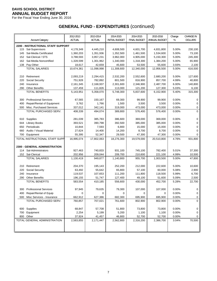For the Fiscal Year Ending June 30, 2016

|     |                                    | 2012-2013       | 2013-2014       | 2014-2015             | 2014-2015           | 2015-2016       | Change         | <b>CHANGE IN</b>    |
|-----|------------------------------------|-----------------|-----------------|-----------------------|---------------------|-----------------|----------------|---------------------|
|     | <b>Account Category</b>            | <b>ACTUAL</b>   | <b>ACTUAL</b>   | <b>INITIAL BUDGET</b> | <b>FINAL BUDGET</b> | ANNUAL BUDGET   | %              | <b>DOLLARS</b>      |
|     | 2200 - INSTRUCTIONAL STAFF SUPPORT |                 |                 |                       |                     |                 |                |                     |
| 115 | Sal-Supervisors                    | 4,178,349       | 4,445,210       | 4,608,500             | 4,601,700           | 4,831,800       | 5.00%          | 230,100             |
| 145 | Sal-Media Certificated             | 1,360,203       | 1,351,936       | 1,352,500             | 1,461,500           | 1,534,600       | 5.00%          | 73,100              |
| 152 | Sal-Clerical / STS                 | 3,788,593       | 3,957,231       | 3,962,000             | 4,905,000           | 5,150,300       | 5.00%          | 245,300             |
| 162 | Sal-Media Noncertified             | 1,328,599       | 1,301,962       | 1,340,000             | 1,318,300           | 1,384,200       | 5.00%          | 65,900              |
| 138 | Pay-Other                          | 18,617          | 42,659          | 45,600                | 53,500              | 55,600          | 3.93%          | 2,100               |
|     | <b>TOTAL SALARIES</b>              | 10,674,361      | 11,098,998      | 11,308,600            | 12,340,000          | 12,956,500      | 5.00%          | 616,500             |
|     |                                    |                 |                 |                       |                     |                 |                |                     |
| 210 | Retirement                         | 2,093,219       | 2,294,415       | 2,532,200             | 2,552,600           | 2,680,200       | 5.00%          | 127,600             |
| 220 | Social Security                    | 751,928         | 782,892         | 801,500               | 816,900             | 857,700         | 4.99%          | 40,800              |
| 240 | Insurance                          | 2,161,345       | 2,168,937       | 2,301,600             | 2,346,900           | 2,487,700       | 6.00%          | 140,800             |
| 290 | <b>Other Benefits</b>              | 137,459         | 111,826         | 113,000               | 121,200             | 127,300         | 5.03%          | 6,100               |
|     | <b>TOTAL BENEFITS</b>              | 5,143,951       | 5,358,070       | 5,748,300             | 5,837,600           | 6,152,900       | 5.40%          | 315,300             |
|     |                                    |                 |                 |                       |                     |                 |                |                     |
| 300 | <b>Professional Services</b>       | 67,565          | 150,167         | 69,300                | 99,900              | 99,900          | 0.00%          | 0                   |
| 400 | Repair/Rental of Equipment         | 3,762           | 1,766           | 1,500                 | 3,500               | 3,500           | 0.00%          | 0                   |
| 500 | Misc. Purchased Services           | 337,012         | 342,141         | 319,000               | 473,000             | 473,000         | 0.00%          | 0<br>$\overline{0}$ |
|     | TOTAL PURCHASED SERV.              | 408,339         | 494,074         | 389,800               | 576,400             | 576,400         | 0.00%          |                     |
| 610 | Supplies                           | 281,039         | 385,783         | 386,600               | 369,000             | 369,000         | 0.00%          | 0                   |
| 644 | <b>Library Books</b>               | 393,521         | 390,798         | 392,500               | 385,000             | 385,000         | 0.00%          | 0                   |
| 650 | Periodicals                        | 10,844          | 7,593           | 6,800                 | 15,000              | 15,000          | 0.00%          | 0                   |
| 660 | Audio / Visual Material            | 27,624          | 14,400          | 14,200                | 8,700               | 8,700           | 0.00%          | 0                   |
| 700 | Equipment                          | 55,395          | 52,347          | 29,500                | 47,300              | 47,300          | 0.00%          | 0                   |
|     | TOTAL INSTRUCTIONAL STAFF SUPP     | 16,995,074      | 17,802,063      | 18,276,300            | 19,579,000          | 20,510,800      | 4.76%          | 931,800             |
|     |                                    |                 |                 |                       |                     |                 |                |                     |
|     | 2300 - GENERAL ADMINISTRATION      |                 |                 |                       |                     |                 |                |                     |
| 114 | Sal-Administrators                 | 927,463         | 740,833         | 931,100               | 745,100             | 782,400         | 5.01%          | 37,300              |
|     | 152 Sal-Clerical                   | 202,956         | 209,044         | 209,700               | 210,600             | 221,100         | 4.99%          | 10,500              |
|     | <b>TOTAL SALARIES</b>              | 1,130,419       | 949,877         | 1,140,800             | 955,700             | 1,003,500       | 5.00%          | 47,800              |
|     |                                    |                 |                 |                       |                     |                 |                |                     |
| 210 | Retirement                         | 204,370         | 195,143         | 252,200               | 212,000             | 222,600         | 5.00%          | 10,600              |
| 220 | <b>Social Security</b>             | 63,492          | 55,642          | 65,800                | 57,100              | 60,000          | 5.08%          | 2,900               |
| 240 | Insurance                          | 119,537         | 107,653         | 111,200               | 111,800             | 118,500         | 5.99%          | 6,700               |
| 290 | <b>Other Benefits</b>              | 196,155         | 51,747          | 127,400               | 49,100              | 51,600          | 5.09%          | 2,500               |
|     | <b>TOTAL BENEFITS</b>              | 583,554         | 410,185         | 556,600               | 430,000             | 452,700         | 5.28%          | 22,700              |
|     |                                    |                 |                 |                       |                     |                 |                |                     |
| 300 | <b>Professional Services</b>       | 97,945          | 79,635          | 79,300                | 107,000             | 107,000         | 0.00%          | 0                   |
|     | 400 Repair/Rental of Equip         | 0               | 0               | 0                     | 0                   | 0               | $0.00\%$       | 0                   |
|     | 500 Misc Services - Insurance      | 662,912         | 627,386         | 682,300               | 695,900             | 695,900         | 0.00%          | 0                   |
|     | TOTAL PURCHASED SERV.              | 760,857         | 707,021         | 761,600               | 802,900             | 802,900         | 0.00%          | $\Omega$            |
|     |                                    |                 | 57,708          | 51,800                | 73,800              |                 |                |                     |
|     | 600 Supplies                       | 68,847          |                 |                       |                     | 73,800          | 0.00%<br>0.00% | 0                   |
| 700 | Equipment<br>800 Other             | 2,254<br>37,924 | 5,199<br>41,457 | 5,200<br>46,800       | 1,100<br>52,700     | 1,100<br>52,700 | 0.00%          | 0<br>0              |
|     | TOTAL GENERAL ADMINISTRATION       | 2,583,855       | 2,171,447       | 2,562,800             | 2,316,200           | 2,386,700       | 3.04%          | 70,500              |
|     |                                    |                 |                 |                       |                     |                 |                |                     |
|     |                                    |                 |                 |                       |                     |                 |                |                     |
|     |                                    |                 |                 |                       |                     |                 |                |                     |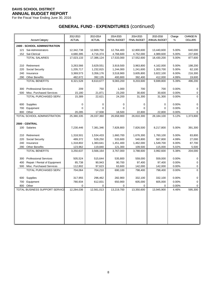For the Fiscal Year Ending June 30, 2016

|     | <b>Account Category</b>                           | 2012-2013<br>ACTUAL | 2013-2014<br><b>ACTUAL</b> | 2014-2015<br><b>INITIAL BUDGET</b> | 2014-2015<br><b>FINAL BUDGET</b> | 2015-2016<br>ANNUAL BUDGET | Change<br>%    | <b>CHANGE IN</b><br><b>DOLLARS</b> |
|-----|---------------------------------------------------|---------------------|----------------------------|------------------------------------|----------------------------------|----------------------------|----------------|------------------------------------|
|     |                                                   |                     |                            |                                    |                                  |                            |                |                                    |
|     | <b>2400 - SCHOOL ADMINISTRATION</b>               |                     |                            |                                    |                                  |                            |                |                                    |
| 121 | Sal-Administrators                                | 12,342,738          | 12,669,750                 | 12,764,400                         | 12,800,600                       | 13,440,600                 | 5.00%          | 640,000                            |
|     | 152 Sal-Clerical                                  | 4,680,395           | 4,716,374                  | 4,768,600                          | 4,752,000                        | 4,989,600                  | 5.00%          | 237,600                            |
|     | <b>TOTAL SALARIES</b>                             | 17,023,133          | 17,386,124                 | 17,533,000                         | 17,552,600                       | 18,430,200                 | 5.00%          | 877,600                            |
| 210 | Retirement                                        | 3,263,566           | 3,629,551                  | 3,919,500                          | 3,963,800                        | 4,162,000                  | 5.00%          | 198,200                            |
| 220 | <b>Social Security</b>                            | 1,205,717           | 1,232,815                  | 1,244,000                          | 1,241,600                        | 1,303,700                  | 5.00%          | 62,100                             |
| 240 | Insurance                                         | 3,369,573           | 3,356,176                  | 3,518,900                          | 3,605,800                        | 3,822,100                  | 6.00%          | 216,300                            |
| 290 | <b>Other Benefits</b>                             | 482,672             | 392,135                    | 400,800                            | 392,400                          | 412,000                    | 4.99%          | 19,600                             |
|     | <b>TOTAL BENEFITS</b>                             | 8,321,528           | 8,610,677                  | 9,083,200                          | 9,203,600                        | 9,699,800                  | 5.39%          | 496,200                            |
|     |                                                   |                     |                            |                                    |                                  |                            |                |                                    |
| 300 | <b>Professional Services</b>                      | 209                 | 750                        | 1,000                              | 700                              | 700                        | 0.00%          | 0                                  |
| 500 | Misc. Purchased Services<br>TOTAL PURCHASED SERV. | 15,180              | 21,871                     | 23,200                             | 30,600                           | 30,600                     | 0.00%<br>0.00% | 0<br>0                             |
|     |                                                   | 15,389              | 22,621                     | 24,200                             | 31,300                           | 31,300                     |                |                                    |
|     | 600 Supplies                                      | 0                   | 0                          | 0                                  | $\mathbf 0$                      | 0                          | 0.00%          | 0                                  |
| 700 | Equipment                                         | 0                   | 0                          | 0                                  | 0                                | 0                          | 0.00%          | 0                                  |
| 800 | Other                                             | 20,285              | 17,938                     | 18,500                             | 22,800                           | 22,800                     | 0.00%          | 0                                  |
|     | TOTAL SCHOOL ADMINISTRATION                       | 25,380,335          | 26,037,360                 | 26,658,900                         | 26,810,300                       | 28,184,100                 | 5.12%          | 1,373,800                          |
|     |                                                   |                     |                            |                                    |                                  |                            |                |                                    |
|     | 2500 - CENTRAL                                    |                     |                            |                                    |                                  |                            |                |                                    |
|     | 100 Salaries                                      | 7,230,446           | 7,381,346                  | 7,828,800                          | 7,826,500                        | 8,217,800                  | 5.00%          | 391,300                            |
| 210 | Retirement                                        | 1,318,501           | 1,534,433                  | 1,660,700                          | 1,676,300                        | 1,760,100                  | 5.00%          | 83,800                             |
| 220 | <b>Social Security</b>                            | 489,372             | 528,250                    | 533,600                            | 540,800                          | 567,800                    | 4.99%          | 27,000                             |
| 240 | Insurance                                         | 1,318,802           | 1,383,641                  | 1,451,400                          | 1,462,000                        | 1,549,700                  | 6.00%          | 87,700                             |
| 290 | <b>Other Benefits</b>                             | 123,962             | 119,840                    | 121,300                            | 109,500                          | 115,000                    | 5.02%          | 5,500                              |
|     | <b>TOTAL BENEFITS</b>                             | 3,250,637           | 3,566,164                  | 3,767,000                          | 3,788,600                        | 3,992,600                  | 5.38%          | 204,000                            |
|     |                                                   |                     |                            |                                    |                                  |                            |                |                                    |
| 300 | <b>Professional Services</b>                      | 505,524             | 515,644                    | 535,800                            | 559,000                          | 559,000                    | 0.00%          | 0                                  |
| 400 | Repair / Rental of Equipment                      | 85,738              | 90,943                     | 90,700                             | 97,400                           | 97,400                     | 0.00%          | 0                                  |
| 500 | Misc. Purchased Services                          | 112,802             | 97,623                     | 63,600                             | 142,000                          | 142,000                    | 0.00%          | 0                                  |
|     | TOTAL PURCHASED SERV.                             | 704,064             | 704,210                    | 690,100                            | 798,400                          | 798,400                    | 0.00%          | 0                                  |
| 600 | Supplies                                          | 317,955             | 296,462                    | 282,900                            | 332,100                          | 332,100                    | 0.00%          | 0                                  |
| 700 | Equipment                                         | 780,934             | 612,831                    | 650,900                            | 605,000                          | 605,000                    | 0.00%          | 0                                  |
| 800 | Other                                             | 0                   | 0                          | 0                                  | 0                                | 0                          | 0.00%          | 0                                  |
|     | TOTAL BUSINESS SUPPORT SERVICE                    | 12,284,036          | 12,561,013                 | 13,219,700                         | 13,350,600                       | 13,945,900                 | 4.46%          | 595,300                            |
|     |                                                   |                     |                            |                                    |                                  |                            |                |                                    |
|     |                                                   |                     |                            |                                    |                                  |                            |                |                                    |
|     |                                                   |                     |                            |                                    |                                  |                            |                |                                    |
|     |                                                   |                     |                            |                                    |                                  |                            |                |                                    |
|     |                                                   |                     |                            |                                    |                                  |                            |                |                                    |
|     |                                                   |                     |                            |                                    |                                  |                            |                |                                    |
|     |                                                   |                     |                            |                                    |                                  |                            |                |                                    |
|     |                                                   |                     |                            |                                    |                                  |                            |                |                                    |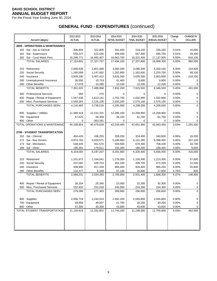For the Fiscal Year Ending June 30, 2016

|     |                                            | 2012-2013     | 2013-2014     | 2014-2015             | 2014-2015           | 2015-2016     | Change | <b>CHANGE IN</b> |
|-----|--------------------------------------------|---------------|---------------|-----------------------|---------------------|---------------|--------|------------------|
|     | <b>Account Category</b>                    | <b>ACTUAL</b> | <b>ACTUAL</b> | <b>INITIAL BUDGET</b> | <b>FINAL BUDGET</b> | ANNUAL BUDGET | %      | <b>DOLLARS</b>   |
|     | <b>2600 - OPERATIONS &amp; MAINTENANCE</b> |               |               |                       |                     |               |        |                  |
|     | 152 Sal - Sec & Clerical                   | 306,804       | 322,805       | 331,000               | 319,100             | 335,100       | 5.01%  | 16,000           |
| 181 | Sal - Supervisors                          | 550,227       | 522,545       | 499,400               | 567,300             | 595,700       | 5.01%  | 28,400           |
|     | 182 Sal - Cust/ Maint Pers                 | 16,296,771    | 16,482,407    | 16,663,700            | 16,321,400          | 17,137,500    | 5.00%  | 816,100          |
|     | <b>TOTAL SALARIES</b>                      | 17,153,802    | 17,327,757    | 17,494,100            | 17,207,800          | 18,068,300    | 5.00%  | 860,500          |
|     |                                            |               |               |                       |                     |               |        |                  |
| 210 | Retirement                                 | 2,668,638     | 2,851,480     | 3,092,500             | 3,095,300           | 3,250,100     | 5.00%  | 154,800          |
| 220 | Social Security                            | 1,160,058     | 1,147,062     | 1,162,900             | 1,162,600           | 1,220,700     | 5.00%  | 58,100           |
| 240 | Insurance                                  | 3,509,290     | 3,467,412     | 3,625,300             | 3,635,500           | 3,853,600     | 6.00%  | 218,100          |
| 280 | Unemployment Insurance                     | 36,556        | 10,719        | 41,400                | 9,900               | 9,900         | 0.00%  | 0                |
| 290 | <b>Other Benefits</b>                      | 17,078        | 10,285        | 10,100                | 12,200              | 12,200        | 0.00%  | 0                |
|     | <b>TOTAL BENEFITS</b>                      | 7,391,620     | 7,486,958     | 7,932,200             | 7,915,500           | 8,346,500     | 5.45%  | 431,000          |
|     |                                            |               |               |                       |                     |               |        |                  |
| 300 | <b>Professional Services</b>               | 684           | 270           | 0                     | 0                   | 0             | 0.00%  | 0                |
| 400 | Repair / Rental of Equipment               | 1,557,536     | 1,613,141     | 1,702,700             | 1,632,900           | 1,632,900     | 0.00%  | 0                |
| 500 | Misc. Purchased Services                   | 2,558,263     | 2,125,105     | 2,593,200             | 2,575,100           | 2,575,100     | 0.00%  | 0                |
|     | TOTAL PURCHASED SERV.                      | 4,116,483     | 3,738,516     | 4,295,900             | 4,208,000           | 4,208,000     | 0.00%  | $\overline{0}$   |
| 600 | Supplies / Utilities                       | 11,389,324    | 12,231,331    | 12,286,100            | 13,258,900          | 13,258,900    | 0.00%  | 0                |
| 700 | Equipment                                  | 57,625        | 58,358        | 26,100                | 61,700              | 61,700        | 0.00%  | 0                |
| 800 | Other                                      | 0             | $-363,281$    | 0                     | 0                   | 0             | 0.00%  | 0                |
|     | TOTAL OPERATIONS & MAINTENANC              | 40,108,854    | 40,479,639    | 42,034,400            | 42,651,900          | 43,943,400    | 3.03%  | 1,291,500        |
|     |                                            |               |               |                       |                     |               |        |                  |
|     | 2700 - STUDENT TRANSPORTATION              |               |               |                       |                     |               |        |                  |
|     | 152 Sal - Clerical                         | 404,426       | 436,255       | 359,200               | 324,400             | 340,600       | 4.99%  | 16,200           |
| 172 | Sal - Bus Drivers                          | 4,974,793     | 5,029,571     | 5,180,900             | 5,141,300           | 5,398,400     | 5.00%  | 257,100          |
| 173 | Sal - Mechanics                            | 528,445       | 551,570       | 559,500               | 674,400             | 708,100       | 5.00%  | 33,700           |
| 199 | Sal - Other                                | 196,391       | 179,811       | 192,300               | 180,300             | 189,300       | 4.99%  | 9,000            |
|     | <b>TOTAL SALARIES</b>                      | 6,104,055     | 6,197,207     | 6,291,900             | 6,320,400           | 6,636,400     | 5.00%  | 316,000          |
|     |                                            |               |               |                       |                     |               |        |                  |
| 210 | Retirement                                 | 1,101,872     | 1,164,041     | 1,278,300             | 1,155,500           | 1,213,300     | 5.00%  | 57,800           |
| 220 | <b>Social Security</b>                     | 437,082       | 446,724       | 452,100               | 449,700             | 472,200       | 5.00%  | 22,500           |
| 240 | Insurance                                  | 938,900       | 917,439       | 966,400               | 929,400             | 985,200       | 6.00%  | 55,800           |
| 280 | <b>Other Benefits</b>                      | 110,377       | 6,189         | 97,100                | 16,800              | 17,600        | 4.76%  | 800              |
|     | <b>TOTAL BENEFITS</b>                      | 2,588,231     | 2,534,393     | 2,793,900             | 2,551,400           | 2,688,300     | 5.37%  | 136,900          |
|     |                                            |               |               |                       |                     |               |        |                  |
| 400 | Repair / Rental of Equipment               | 26,334        | 25,345        | 23,000                | 32,300              | 32,300        | 0.00%  | 0                |
| 500 | Misc. Purchased Services                   | 252,932       | 252,018       | 246,900               | 224,300             | 224,300       | 0.00%  | 0                |
|     | TOTAL PURCHASED SERV.                      | 279,266       | 277,363       | 269,900               | 256,600             | 256,600       | 0.00%  | $\mathbf 0$      |
|     |                                            |               |               |                       |                     |               |        |                  |
| 600 | Supplies                                   | 2,056,718     | 2,244,524     | 2,302,200             | 2,045,800           | 2,045,800     | 0.00%  | 0                |
| 700 | Equipment                                  | 58,956        | 49,007        | 41,700                | 30,200              | 30,200        | 0.00%  | 0                |
|     | 800 Other                                  | 47,393        | 30,358        | 43,600                | 43,600              | 43,600        | 0.00%  | 0                |
|     | TOTAL STUDENT TRANSPORTATION               | 11,134,619    | 11,332,852    | 11,743,200            | 11,248,000          | 11,700,900    | 4.03%  | 452,900          |
|     |                                            |               |               |                       |                     |               |        |                  |
|     |                                            |               |               |                       |                     |               |        |                  |
|     |                                            |               |               |                       |                     |               |        |                  |
|     |                                            |               |               |                       |                     |               |        |                  |
|     |                                            |               |               |                       |                     |               |        |                  |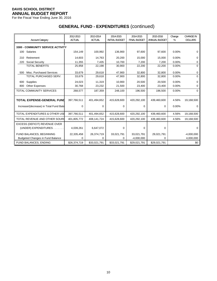For the Fiscal Year Ending June 30, 2016

| <b>Account Category</b>                   | 2012-2013<br><b>ACTUAL</b> | 2013-2014<br><b>ACTUAL</b> | 2014-2015<br><b>INITIAL BUDGET</b> | 2014-2015<br><b>FINAL BUDGET</b> | 2015-2016<br>ANNUAL BUDGET | Change<br>% | <b>CHANGE IN</b><br><b>DOLLARS</b> |
|-------------------------------------------|----------------------------|----------------------------|------------------------------------|----------------------------------|----------------------------|-------------|------------------------------------|
| <b>3300 - COMMUNITY SERVICE ACTIVITY</b>  |                            |                            |                                    |                                  |                            |             |                                    |
| Salaries<br>100                           | 154,149                    | 100,992                    | 136,900                            | 97,600                           | 97,600                     | 0.00%       | 0                                  |
| Retirement<br>210                         | 14,603                     | 14,763                     | 20,200                             | 15,000                           | 15,000                     | 0.00%       | 0                                  |
| Social Security<br>220                    | 11,355                     | 7,435                      | 10,700                             | 7,200                            | 7,200                      | 0.00%       | 0                                  |
| <b>TOTAL BENEFITS</b>                     | 25,958                     | 22,198                     | 30,900                             | 22,200                           | 22,200                     | 0.00%       | 0                                  |
| Misc. Purchased Services<br>500           | 33,679                     | 29,618                     | 47,900                             | 32,800                           | 32,800                     | 0.00%       | 0                                  |
| TOTAL PURCHASED SERV.                     | 33,679                     | 29,618                     | 47,900                             | 32,800                           | 32,800                     | 0.00%       | $\Omega$                           |
| Supplies<br>600                           | 24,023                     | 11,319                     | 10.900                             | 20,500                           | 20,500                     | 0.00%       | $\Omega$                           |
| <b>Other Expenses</b><br>800              | 30,768                     | 23,232                     | 21,500                             | 23,400                           | 23,400                     | 0.00%       | U                                  |
| TOTAL COMMUNITY SERVICES                  | 268,577                    | 187,359                    | 248,100                            | 196,500                          | 196,500                    | 0.00%       | $\Omega$                           |
| <b>TOTAL EXPENSE-GENERAL FUND</b>         | 397,766,511                | 401,494,652                | 415,628,600                        | 420,292,100                      | 439,460,600                | 4.56%       | 19,168,500                         |
| Increase/(decrease) in Total Fund Bala    | 0                          | $\Omega$                   | 0                                  | 0                                | 0                          | 0.00%       | $\Omega$                           |
| <b>TOTAL EXPENDITURES &amp; OTHER USE</b> | 397,766,511                | 401,494,652                | 415,628,600                        | 420,292,100                      | 439,460,600                | 4.56%       | 19,168,500                         |
| TOTAL REVENUE AND OTHER SOUR              | 401,805,772                | 408,141,724                | 415,628,600                        | 420,292,100                      | 439,460,600                | 4.56%       | 19,168,500                         |
| EXCESS (DEFICIT) REVENUE OVER             |                            |                            |                                    |                                  |                            |             |                                    |
| (UNDER) EXPENDITURES.                     | 4,039,261                  | 6,647,072                  | $\Omega$                           | $\mathbf 0$                      | $\Omega$                   |             | ∩                                  |
| FUND BALANCES, BEGINNING                  | 22,335,458                 | 26,374,719                 | 33,021,791                         | 33,021,791                       | 29,021,791                 |             | $-4,000,000$                       |
| <b>Budgeted Changes in Fund Balance</b>   | $\Omega$                   | 0                          | 0                                  | $-4,000,000$                     | 0                          |             | 4,000,000                          |
| FUND BALANCES, ENDING                     | \$26,374,719               | \$33,021,791               | \$33,021,791                       | \$29,021,791                     | \$29,021,791               |             | \$0                                |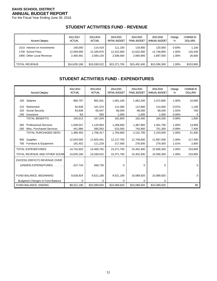For the Fiscal Year Ending June 30, 2016

# **STUDENT ACTIVITIES FUND - REVENUE**

| <b>Account Category</b>      | 2012-2013     | 2013-2014    | 2014-2015             | 2014-2015           | 2015-2016     | Change | <b>CHANGE IN</b> |
|------------------------------|---------------|--------------|-----------------------|---------------------|---------------|--------|------------------|
|                              | <b>ACTUAL</b> | ACTUAL       | <b>INITIAL BUDGET</b> | <b>FINAL BUDGET</b> | ANNUAL BUDGET | %      | <b>DOLLARS</b>   |
| 1510 Interest on Investments | 140.000       | 114.418      | 111.100               | 118.900             | 120.000       | 0.93%  | 1,100            |
| 1700 School Fees             | 12,094,695    | 12,339,970   | 12,422,600            | 12,622,600          | 12,748,800    | 1.00%  | 126,200          |
| 1900 Other Local Revenue     | 2.400.491     | 2,584,134    | 2,838,000             | 2.660.900           | 2.687.500     | 1.00%  | 26,600           |
| II TOTAL REVENUE             | \$14,635,186  | \$15,038,522 | \$15,371,700          | \$15.402.400        | \$15,556,300  | 1.00%  | \$153,900        |

# **STUDENT ACTIVITIES FUND - EXPENDITURES**

|     | <b>Account Category</b>                 | 2012-2013<br><b>ACTUAL</b> | 2013-2014<br><b>ACTUAL</b> | 2014-2015<br><b>INITIAL BUDGET</b> | 2014-2015<br><b>FINAL BUDGET</b> | 2015-2016<br>ANNUAL BUDGET | Change<br>% | <b>CHANGE IN</b><br><b>DOLLARS</b> |
|-----|-----------------------------------------|----------------------------|----------------------------|------------------------------------|----------------------------------|----------------------------|-------------|------------------------------------|
|     | 100 Salaries                            | 860,797                    | 881,501                    | 1,061,100                          | 1,062,200                        | 1,072,800                  | 1.00%       | 10,600                             |
| 210 | Retirement                              | 92,838                     | 101,374                    | 112,300                            | 112,900                          | 114,000                    | 0.97%       | 1,100                              |
| 220 | Social Security                         | 63,838                     | 65,547                     | 68,500                             | 68,500                           | 69,200                     | 1.02%       | 700                                |
| 240 | Insurance                               | $-63$                      | 283                        | 1,000                              | 1,000                            | 1,000                      | 0.00%       | 0                                  |
|     | <b>TOTAL BENEFITS</b>                   | 156,613                    | 167,204                    | 181,800                            | 182,400                          | 184,200                    | 0.99%       | 1,800                              |
| 300 | <b>Professional Services</b>            | 1,048,507                  | 1,120,854                  | 1,268,600                          | 1,387,800                        | 1,401,700                  | 1.00%       | 13,900                             |
| 500 | Misc. Purchased Services                | 441,986                    | 585,563                    | 515,000                            | 743,900                          | 751,300                    | 0.99%       | 7,400                              |
|     | TOTAL PURCHASED SERV.                   | 1,490,493                  | 1,706,417                  | 1,783,600                          | 2,131,700                        | 2,153,000                  | 1.00%       | 21,300                             |
| 600 | Supplies                                | 12,043,565                 | 11,603,441                 | 12,127,700                         | 11,749,600                       | 11,867,000                 | 1.00%       | 117,400                            |
| 700 | Furniture & Equipment                   | 191,452                    | 111,229                    | 217,500                            | 276,500                          | 279,300                    | 1.01%       | 2,800                              |
|     | <b>TOTAL EXPENDITURES</b>               | 14,742,920                 | 14,469,792                 | 15,371,700                         | 15,402,400                       | 15,556,300                 | 1.00%       | 153,900                            |
|     | TOTAL REVENUE AND OTHER SOUR            | 14,635,186                 | 15,038,522                 | 15,371,700                         | 15,402,400                       | 15,556,300                 | 1.00%       | 153,900                            |
|     | EXCESS (DEFICIT) REVENUE OVER           |                            |                            |                                    |                                  |                            |             |                                    |
|     | (UNDER) EXPENDITURES.                   | $-107,734$                 | 568,730                    | $\Omega$                           | 0                                | 0                          |             | 0                                  |
|     |                                         |                            |                            |                                    |                                  |                            |             |                                    |
|     | FUND BALANCE, BEGINNING                 | 9,628,924                  | 9,521,190                  | 9,521,190                          | 10,089,920                       | 10,089,920                 |             | 0                                  |
|     | <b>Budgeted Changes in Fund Balance</b> | 0                          | 0                          | 0                                  | 0                                | 0                          |             |                                    |
|     | FUND BALANCE, ENDING                    | \$9,521,190                | \$10,089,920               | \$10,089,920                       | \$10,089,920                     | \$10,089,920               |             | \$0                                |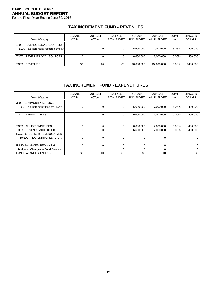For the Fiscal Year Ending June 30, 2016

# **TAX INCREMENT FUND - REVENUES**

| <b>Account Category</b>                                              | 2012-2013<br><b>ACTUAL</b> | 2013-2014<br><b>ACTUAL</b> | 2014-2015<br><b>INITIAL BUDGET</b> | 2014-2015<br><b>FINAL BUDGET</b> | 2015-2016<br>ANNUAL BUDGET | Change<br>% | <b>CHANGE IN</b><br><b>DOLLARS</b> |
|----------------------------------------------------------------------|----------------------------|----------------------------|------------------------------------|----------------------------------|----------------------------|-------------|------------------------------------|
| 1000 - REVENUE LOCAL SOURCES:<br>1195 Tax Increment collected by RDA |                            |                            |                                    | 6,600,000                        | 7.000.000                  | 6.06%       | 400,000                            |
| TOTAL REVENUE LOCAL SOURCES                                          |                            |                            |                                    | 6,600,000                        | 7.000.000                  | 6.06%       | 400,000                            |
| <b>TOTAL REVENUES</b>                                                | \$0                        | \$0                        | \$0                                | \$6,600,000                      | \$7,000,000                | 6.06%       | \$400,000                          |

## **TAX INCREMENT FUND - EXPENDITURES**

| <b>Account Category</b>                                          | 2012-2013<br><b>ACTUAL</b> | 2013-2014<br><b>ACTUAL</b> | 2014-2015<br><b>INITIAL BUDGET</b> | 2014-2015<br><b>FINAL BUDGET</b> | 2015-2016<br>ANNUAL BUDGET | Change<br>% | <b>CHANGE IN</b><br><b>DOLLARS</b> |
|------------------------------------------------------------------|----------------------------|----------------------------|------------------------------------|----------------------------------|----------------------------|-------------|------------------------------------|
| 3300 - COMMUNITY SERVICES:<br>Tax Increment used by RDA's<br>890 |                            |                            | 0                                  | 6,600,000                        | 7,000,000                  | 6.06%       | 400,000                            |
| TOTAL EXPENDITURES                                               |                            | 0                          | 0                                  | 6,600,000                        | 7,000,000                  | 6.06%       | 400,000                            |
| TOTAL ALL EXPENDITURES                                           |                            | ∩                          |                                    | 6,600,000                        | 7,000,000                  | 6.06%       | 400,000                            |
| TOTAL REVENUE AND OTHER SOURC                                    |                            |                            | O                                  | 6,600,000                        | 7,000,000                  | 6.06%       | 400,000                            |
| EXCESS (DEFICIT) REVENUE OVER                                    |                            |                            |                                    |                                  |                            |             |                                    |
| (UNDER) EXPENDITURES                                             |                            | U                          | 0                                  | $\Omega$                         | $\Omega$                   |             |                                    |
| FUND BALANCES, BEGINNING                                         |                            | 0                          |                                    | $\mathbf 0$                      | 0                          |             |                                    |
| <b>Budgeted Changes in Fund Balance</b>                          |                            |                            | 0                                  | $\Omega$                         | 0                          |             |                                    |
| <b>FUND BALANCES, ENDING</b>                                     | \$0                        | \$0                        | \$0                                | \$0                              | \$0                        |             | \$0                                |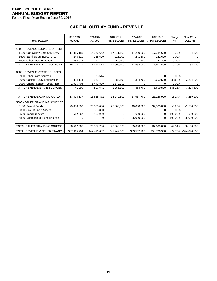For the Fiscal Year Ending June 30, 2016

# **CAPITAL OUTLAY FUND - REVENUE**

| <b>Account Category</b>                   | 2012-2013<br><b>ACTUAL</b> | 2013-2014<br><b>ACTUAL</b> | 2014-2015<br><b>INITIAL BUDGET</b> | 2014-2015<br><b>FINAL BUDGET</b> | 2015-2016<br><b>ANNUAL BUDGET</b> | Change<br>% | <b>CHANGE IN</b><br><b>DOLLARS</b> |
|-------------------------------------------|----------------------------|----------------------------|------------------------------------|----------------------------------|-----------------------------------|-------------|------------------------------------|
| 1000 - REVENUE LOCAL SOURCES:             |                            |                            |                                    |                                  |                                   |             |                                    |
| 1120 Cap Outlay/Debt Serv Levy            | 17,315,185                 | 16,966,652                 | 17,011,600                         | 17,200,200                       | 17,234,600                        | 0.20%       | 34,400                             |
| 1500 Earnings on Investments              | 243,310                    | 238,620                    | 225,000                            | 241,600                          | 241,600                           | 0.00%       |                                    |
| 1900 Other Local Revenue                  | 585,932                    | 241,141                    | 269,100                            | 141,200                          | 141,200                           | 0.00%       | 0                                  |
| TOTAL REVENUE LOCAL SOURCES               | 18,144,427                 | 17,446,413                 | 17,505,700                         | 17,583,000                       | 17,617,400                        | 0.20%       | 34,400                             |
|                                           |                            |                            |                                    |                                  |                                   |             |                                    |
| 3000 - REVENUE STATE SOURCES              |                            |                            |                                    |                                  |                                   |             |                                    |
| 3900 Other State Sources                  | 0                          | 73,514                     | 0                                  | 0                                | 0                                 | $0.00\%$    |                                    |
| 3650 Capital Outlay Equalization          | 334,114                    | 559,784                    | 384,693                            | 384,700                          | 3,609,500                         | 838.3%      | 3,224,800                          |
| 3650 Charter School - Local Repl          | $-1,075,404$               | $-1,440,839$               | $-1,640,793$                       | 0                                | o                                 | 0.00%       |                                    |
| TOTAL REVENUE STATE SOURCES               | $-741,290$                 | $-807,541$                 | $-1,256,100$                       | 384,700                          | 3,609,500                         | 838.26%     | 3,224,800                          |
|                                           |                            |                            |                                    |                                  |                                   |             |                                    |
| TOTAL REVENUE CAPITAL OUTLAY              | 17,403,137                 | 16,638,872                 | 16,249,600                         | 17,967,700                       | 21,226,900                        | 18.14%      | 3,259,200                          |
| 5000 - OTHER FINANCING SOURCES:           |                            |                            |                                    |                                  |                                   |             |                                    |
| 5100 Sale of Bonds                        | 20,000,000                 | 25,000,000                 | 25,000,000                         | 40,000,000                       | 37,500,000                        | $-6.25%$    | $-2,500,000$                       |
| 5300 Sale of Fixed Assets                 | 0                          | 388.800                    | 0                                  | 0                                | <sup>n</sup>                      | 0.00%       |                                    |
| 5500 Bond Premium                         | 512,567                    | 468,930                    | 0                                  | 600.000                          | 0                                 | $-100.00\%$ | $-600.000$                         |
| 5800 Decrease to Fund Balance             | 0                          | 0                          | 0                                  | 25,000,000                       | $\Omega$                          | $-100.00\%$ | $-25,000,000$                      |
|                                           |                            |                            |                                    |                                  |                                   |             |                                    |
| TOTAL OTHER FINANCING SOURCES             | 20,512,567                 | 25,857,730                 | 25,000,000                         | 65,600,000                       | 37,500,000                        | $-42.84%$   | $-28,100,000$                      |
| <b>TOTAL REVENUE &amp; OTHER FINANCIN</b> | \$37,915,704               | \$42,496,602               | \$41,249,600                       | \$83,567,700                     | \$58,726,900                      |             | -29.73% -\$24,840,800              |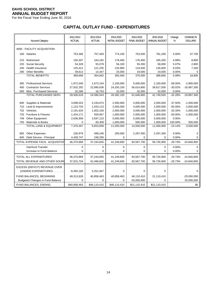For the Fiscal Year Ending June 30, 2016

# **CAPITAL OUTLAY FUND - EXPENDITURES**

|     | <b>Account Category</b>                        | 2012-2013<br><b>ACTUAL</b> | 2013-2014<br><b>ACTUAL</b> | 2014-2015<br><b>INITIAL BUDGET</b> | 2014-2015<br><b>FINAL BUDGET</b> | 2015-2016<br>ANNUAL BUDGET | Change<br>% | <b>CHANGE IN</b><br><b>DOLLARS</b> |
|-----|------------------------------------------------|----------------------------|----------------------------|------------------------------------|----------------------------------|----------------------------|-------------|------------------------------------|
|     | 4000 - FACILITY ACQUISITION:                   |                            |                            |                                    |                                  |                            |             |                                    |
|     | 100 Salaries                                   | 753,366                    | 757,403                    | 774,100                            | 753,500                          | 791,200                    | 5.00%       | 37,700                             |
| 210 | Retirement                                     | 150,307                    | 164,182                    | 178,400                            | 176,400                          | 185,200                    | 4.99%       | 8,800                              |
| 220 | Social Security                                | 54,328                     | 55,078                     | 56,100                             | 55,200                           | 58,000                     | 5.07%       | 2,800                              |
| 240 | Health Insurance                               | 125,421                    | 121,235                    | 133,900                            | 119,400                          | 126,600                    | 6.03%       | 7,200                              |
| 290 | <b>Other Benefits</b><br><b>TOTAL BENEFITS</b> | 39,613                     | 14,347                     | 25,000                             | 19,000                           | 19,000                     | 0.00%       | $\Omega$                           |
|     |                                                | 369,669                    | 354,842                    | 393,400                            | 370,000                          | 388,800                    | 5.08%       | 18,800                             |
| 300 | <b>Professional Services</b>                   | 1,972,040                  | 1,673,154                  | 2,100,000                          | 5,000,000                        | 2,100,000                  | -58.00%     | $-2,900,000$                       |
| 400 | <b>Contractor Services</b>                     | 27,502,292                 | 22,890,636                 | 24,250,100                         | 56,614,800                       | 39,617,500                 | $-30.02%$   | $-16,997,300$                      |
| 500 | Misc. Purchased Services                       | 32,286                     | 16,753                     | 32,000                             | 32,000                           | 32,000                     | 0.00%       | $\Omega$                           |
|     | TOTAL PURCHASED SERV.                          | 29,506,618                 | 24,580,543                 | 26,382,100                         | 61,646,800                       | 41,749,500                 | $-32.28%$   | $-19,897,300$                      |
|     |                                                |                            |                            |                                    |                                  |                            |             |                                    |
| 600 | Supplies & Materials                           | 3,698,023                  | 4,150,673                  | 2,500,000                          | 4,000,000                        | 2,500,000                  | -37.50%     | $-1,500,000$                       |
| 710 | Land & Improvements                            | 1,123,703                  | 1,433,113                  | 2,000,000                          | 4,000,000                        | 2,000,000                  | $-50.00%$   | $-2,000,000$                       |
| 732 | Vehicles                                       | 2,191,634                  | 1,003,156                  | 2,000,000                          | 3,000,000                        | 2,000,000                  | $-33.33%$   | $-1,000,000$                       |
| 733 | <b>Furniture &amp; Fixtures</b>                | 1,424,171                  | 559,957                    | 1,000,000                          | 2,000,000                        | 1,000,000                  | $-50.00%$   | $-1,000,000$                       |
| 749 | Other Equipment                                | 2,636,959                  | 3,597,123                  | 5,000,000                          | 5,000,000                        | 5,000,000                  | 0.00%       | $\Omega$                           |
| 750 | Materials & Books                              | 0                          | 60,309                     | 1,000,000                          | 500,000                          | 1,000,000                  | 100.00%     | 500,000                            |
|     | <b>TOTAL LAND &amp; EQUIPMENT</b>              | 7,376,467                  | 6,653,658                  | 11,000,000                         | 14,500,000                       | 11,000,000                 | $-24.14%$   | $-3,500,000$                       |
| 800 | <b>Other Expenses</b>                          | 226,979                    | 499,246                    | 200,000                            | 2,297,400                        | 2,297,400                  | 0.00%       | $\Omega$                           |
| 840 | Debt Service - Principal                       | 4,439,747                  | 248,290                    | 0                                  | $\mathbf 0$                      | 0                          | 0.00%       | $\Omega$                           |
|     | TOTAL EXPENSE FACIL. ACQUISITIOI               | 46,370,869                 | 37,244,655                 | 41,249,600                         | 83,567,700                       | 58,726,900                 | $-29.73%$   | $-24,840,800$                      |
|     | <b>Interfund Transfer</b>                      | 0                          | $\mathbf 0$                | 0                                  | $\mathbf 0$                      | $\mathbf 0$                | 0.00%       | $\Omega$                           |
|     | Increase to Fund Balance                       | 0                          | $\Omega$                   | 0                                  | 0                                | $\Omega$                   | 0.00%       | 0                                  |
|     | TOTAL ALL EXPENDITURES                         | 46,370,869                 | 37,244,655                 | 41,249,600                         | 83,567,700                       | 58,726,900                 | $-29.73%$   | $-24,840,800$                      |
|     | TOTAL REVENUE AND OTHER SOUR                   | 37,915,704                 | 42,496,602                 | 41,249,600                         | 83,567,700                       | 58,726,900                 | $-29.73%$   | $-24,840,800$                      |
|     | EXCESS (DEFICIT) REVENUE OVER                  |                            |                            |                                    |                                  |                            |             |                                    |
|     | (UNDER) EXPENDITURES.                          | $-8,455,165$               | 5,251,947                  | 0                                  | 0                                | 0                          |             | 0                                  |
|     | FUND BALANCES, BEGINNING                       | 49,313,628                 | 40,858,463                 | 40,858,463                         | 46,110,410                       | 21,110,410                 |             | $-25,000,000$                      |
|     | <b>Budgeted Changes in Fund Balance</b>        | $\Omega$                   | $\Omega$                   | $\Omega$                           | $-25,000,000$                    | 0                          |             | 25,000,000                         |
|     | FUND BALANCES, ENDING                          | \$40,858,463               | \$46,110,410               | \$46,110,410                       | \$21,110,410                     | \$21,110,410               |             | \$0                                |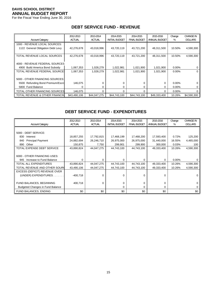For the Fiscal Year Ending June 30, 2016

|                                   | 2012-2013     | 2013-2014     | 2014-2015             | 2014-2015           | 2015-2016     | Change   | <b>CHANGE IN</b> |
|-----------------------------------|---------------|---------------|-----------------------|---------------------|---------------|----------|------------------|
| <b>Account Category</b>           | <b>ACTUAL</b> | <b>ACTUAL</b> | <b>INITIAL BUDGET</b> | <b>FINAL BUDGET</b> | ANNUAL BUDGET | %        | <b>DOLLARS</b>   |
| 1000 - REVENUE LOCAL SOURCES:     |               |               |                       |                     |               |          |                  |
| 1122 General Obligation Debt Levy | 42,276,678    | 43,018,996    | 43,720,119            | 43,721,200          | 48,311,500    | 10.50%   | 4,590,300        |
|                                   |               |               |                       |                     |               |          |                  |
| TOTAL REVENUE LOCAL SOURCES       | 42,276,678    | 43,018,996    | 43,720,119            | 43,721,200          | 48,311,500    | 10.50%   | 4,590,300        |
|                                   |               |               |                       |                     |               |          |                  |
| 4000 - REVENUE FEDERAL SOURCES    |               |               |                       |                     |               |          |                  |
| 4900 Build America Bond Subsidy   | 1,067,353     | 1,028,279     | 1,022,981             | 1,021,900           | 1,021,900     | $0.00\%$ | 0                |
| TOTAL REVENUE FEDERAL SOURCE:     | 1,067,353     | 1,028,279     | 1,022,981             | 1,021,900           | 1,021,900     | $0.00\%$ | 0                |
|                                   |               |               |                       |                     |               |          |                  |
| 5000 - OTHER FINANCING SOURCES:   |               |               |                       |                     |               |          |                  |
| 5500 Refunding Bond Premium/Escro | 146,075       |               |                       | 0                   | 0             | $0.00\%$ | 0                |
| 5800 Fund Balance                 |               | 0             | 0                     | 0                   | 0             | $0.00\%$ | 0                |
| TOTAL OTHER FINANCING SOURCES     | 146,075       | 0             |                       | $\Omega$            | 0             | $0.00\%$ | 0                |
| TOTAL REVENUE & OTHER FINANCIN    | \$43,490,106  | \$44,047,275  | \$44,743,100          | \$44,743,100        | \$49,333,400  | 10.26%   | \$4,590,300      |

# **DEBT SERVICE FUND - REVENUE**

# **DEBT SERVICE FUND - EXPENDITURES**

| <b>Account Category</b>                 | 2012-2013<br><b>ACTUAL</b> | 2013-2014<br><b>ACTUAL</b> | 2014-2015<br><b>INITIAL BUDGET</b> | 2014-2015<br><b>FINAL BUDGET</b> | 2015-2016<br>ANNUAL BUDGET | Change<br>% | <b>CHANGE IN</b><br><b>DOLLARS</b> |
|-----------------------------------------|----------------------------|----------------------------|------------------------------------|----------------------------------|----------------------------|-------------|------------------------------------|
|                                         |                            |                            |                                    |                                  |                            |             |                                    |
| 5000 - DEBT SERVICE:                    |                            |                            |                                    |                                  |                            |             |                                    |
| 830<br>Interest                         | 18,857,255                 | 17,792,815                 | 17,468,199                         | 17,468,200                       | 17,593,400                 | 0.72%       | 125,200                            |
| <b>Principal Payment</b><br>840         | 24,882,694                 | 26,246,710                 | 26,975,000                         | 26,975,000                       | 31,440,000                 | 16.55%      | 4,465,000                          |
| Other<br>890                            | 150,875                    | 7,750                      | 299,901                            | 299,900                          | 300,000                    | 0.03%       | 100                                |
| TOTAL EXPENSE DEBT SERVICE              | 43,890,824                 | 44,047,275                 | 44,743,100                         | 44,743,100                       | 49,333,400                 | 10.26%      | 4,590,300                          |
|                                         |                            |                            |                                    |                                  |                            |             |                                    |
| 6000 - OTHER FINANCING USES:            |                            |                            |                                    |                                  |                            |             |                                    |
| Increase to Fund Balance<br>945         | 0                          | $\Omega$                   | 0                                  | $\Omega$                         | $\Omega$                   | $0.00\%$    |                                    |
| <b>TOTAL ALL EXPENDITURES</b>           | 43,890,824                 | 44,047,275                 | 44,743,100                         | 44,743,100                       | 49,333,400                 | 10.26%      | 4,590,300                          |
| TOTAL REVENUE AND OTHER SOURC           | 43,490,106                 | 44,047,275                 | 44,743,100                         | 44,743,100                       | 49,333,400                 | 10.26%      | 4,590,300                          |
| EXCESS (DEFICIT) REVENUE OVER           |                            |                            |                                    |                                  |                            |             |                                    |
| (UNDER) EXPENDITURES.                   | $-400,718$                 | $\Omega$                   | 0                                  | $\Omega$                         | 0                          |             |                                    |
|                                         |                            |                            |                                    |                                  |                            |             |                                    |
| FUND BALANCES, BEGINNING                | 400,718                    | 0                          | 0                                  | $\Omega$                         | 0                          |             |                                    |
| <b>Budgeted Changes in Fund Balance</b> |                            |                            | 0                                  | $\Omega$                         | 0                          |             |                                    |
| FUND BALANCES, ENDING                   | \$0                        | \$0                        | \$0                                | \$0                              | \$0                        |             | \$0                                |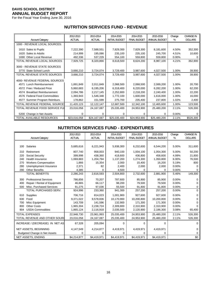For the Fiscal Year Ending June 30, 2016

# **NUTRITION SERVICES FUND - REVENUE**

|                                      | 2012-2013     | 2013-2014     | 2014-2015             | 2014-2015           | 2015-2016     | Change | <b>CHANGE IN</b> |
|--------------------------------------|---------------|---------------|-----------------------|---------------------|---------------|--------|------------------|
| <b>Account Category</b>              | <b>ACTUAL</b> | <b>ACTUAL</b> | <b>INITIAL BUDGET</b> | <b>FINAL BUDGET</b> | ANNUAL BUDGET | %      | <b>DOLLARS</b>   |
| 1000 - REVENUE LOCAL SOURCES:        |               |               |                       |                     |               |        |                  |
| 1610 Sales to Pupils                 | 7,222,390     | 7,588,551     | 7,829,300             | 7,829,300           | 8,181,600     | 4.50%  | 352,300          |
| Sales to Adults<br>1620              | 214,999       | 195,086       | 235,100               | 235,100             | 245,700       | 4.51%  | 10,600           |
| 1690 Other Local Revenue             | 492,336       | 537,229       | 554,100               | 559,800             | 559,800       | 0.00%  | 0                |
| TOTAL REVENUE LOCAL SOURCES          | 7,929,725     | 8,320,866     | 8,618,500             | 8,624,200           | 8,987,100     | 4.21%  | 362,900          |
| 3000 - REVENUE STATE SOURCES         |               |               |                       |                     |               |        |                  |
| 3770 State School Lunch              | 3,666,210     | 3,724,074     | 3,729,400             | 3,987,600           | 4,027,500     | 1.00%  | 39,900           |
| TOTAL REVENUE STATE SOURCES          | 3,666,210     | 3,724,074     | 3,729,400             | 3,987,600           | 4,027,500     | 1.00%  | 39,900           |
| 4000- REVENUE FEDERAL SOURCES:       |               |               |                       |                     |               |        |                  |
| 4571 Lunch Reimbursement             | 1,891,849     | 2,011,849     | 2,068,500             | 2,068,500           | 2,089,200     | 1.00%  | 20,700           |
| 4572 Free / Reduced Price            | 5,860,683     | 6,195,206     | 6,318,400             | 6,220,000           | 6,282,200     | 1.00%  | 62,200           |
| 4574 Breakfast Reimbursement         | 2,094,786     | 2,217,145     | 2,252,800             | 2,218,200           | 2,240,400     | 1.00%  | 22,200           |
| 4576 Federal Food Commodities        | 1,393,943     | 1,546,348     | 1,772,100             | 1,600,000           | 1,616,000     | 1.00%  | 16,000           |
| Summer Program Reimburs.<br>4577     | 178,862       | 151,599       | 275,700               | 235,400             | 237,800       | 1.02%  | 2,400            |
| <b>TOTAL REVENUE FEDERAL SOURCE:</b> | 11,420,123    | 12,122,147    | 12,687,500            | 12,342,100          | 12,465,600    | 1.00%  | 123,500          |
| TOTAL REVENUE FOOD SERVICE FUI       | 23,016,058    | 24,167,087    | 25,035,400            | 24,953,900          | 25,480,200    | 2.11%  | 526,300          |
| 5200 Change in Net Assets            | 0             | U             | $\Omega$              | 0                   | 0             | 0.00%  | 0                |
| TOTAL AVAILABLE RESOURCES            | \$23,016,058  | \$24,167,087  | \$25,035,400          | \$24,953,900        | \$25,480,200  | 2.11%  | \$526,300        |

#### **NUTRITION SERVICES FUND - EXPENDITURES**

|     |                                      | 2012-2013     | 2013-2014     | 2014-2015             | 2014-2015           | 2015-2016     | Change   | <b>CHANGE IN</b> |
|-----|--------------------------------------|---------------|---------------|-----------------------|---------------------|---------------|----------|------------------|
|     | <b>Account Category</b>              | <b>ACTUAL</b> | <b>ACTUAL</b> | <b>INITIAL BUDGET</b> | <b>FINAL BUDGET</b> | ANNUAL BUDGET | %        | <b>DOLLARS</b>   |
|     |                                      |               |               |                       |                     |               |          |                  |
| 100 | Salaries                             | 5,685,616     | 6,221,943     | 5,938,300             | 6,232,600           | 6,544,200     | 5.00%    | 311,600          |
| 210 | Retirement                           | 807,740       | 958,003       | 940,100               | 1,004,100           | 1,054,300     | 5.00%    | 50,200           |
| 220 | Social Security                      | 399,998       | 438,360       | 418,600               | 436,800             | 458,600       | 4.99%    | 21,800           |
| 240 | <b>Health Insurance</b>              | 1,069,883     | 1,204,794     | 1,137,200             | 1,274,300           | 1,350,800     | 6.00%    | 76,500           |
| 270 | <b>Workers Compensation</b>          | 1,866         | 15,354        | 2,000                 | 15,400              | 16,200        | 5.19%    | 800              |
| 280 | Unemployment Insurance               | 2,371         | 82            | 2,400                 | 2,000               | 2,000         | $0.00\%$ | 0                |
| 290 | <b>Other Benefits</b>                | 4,385         | 0             | 4,500                 | $\Omega$            | $\Omega$      | 0.00%    | 0                |
|     | <b>TOTAL BENEFITS</b>                | 2,286,243     | 2,616,593     | 2,504,800             | 2,732,600           | 2,881,900     | 5.46%    | 149,300          |
| 300 | <b>Professional Services</b>         | 786,856       | 70,207        | 787,600               | 85,900              | 85,900        | 0.00%    | 0                |
| 400 | Repair / Rental of Equipment         | 46,865        | 66.117        | 98.200                | 79,500              | 79.500        | 0.00%    | O                |
| 500 | Misc. Purchased Services             | 91,275        | 97,036        | 55,500                | 91,800              | 91,800        | 0.00%    | 0                |
|     | TOTAL PURCHASED SERV.                | 924,996       | 233,360       | 941,300               | 257,200             | 257,200       | 0.00%    | $\Omega$         |
| 610 | Supplies                             | 706,716       | 814,023       | 1,001,900             | 927,600             | 927,600       | $0.00\%$ | 0                |
| 630 | Food                                 | 9,371,022     | 9,578,836     | 10,170,900            | 10,200,800          | 10,200,800    | $0.00\%$ | 0                |
| 700 | Misc Equipment                       | 143,709       | 141.596       | 132,900               | 171,300             | 171,300       | 0.00%    | 0                |
| 800 | <b>Other Costs</b>                   | 1,965,304     | 2,238,724     | 2,309,800             | 2,310,900           | 2,310,900     | 0.00%    |                  |
| 904 | <b>USDA Commodities</b>              | 1,865,124     | 2,116,918     | 2,035,500             | 2,120,900           | 2,186,300     | 3.08%    | 65,400           |
|     | <b>TOTAL EXPENSES</b>                | 22,948,730    | 23,961,993    | 25,035,400            | 24,953,900          | 25,480,200    | 2.11%    | 526,300          |
|     | TOTAL REVENUE AND OTHER SOUR         | 23,016,058    | 24,167,087    | 25,035,400            | 24,953,900          | 25,480,200    | 2.11%    | 526,300          |
|     | INCREASE / (DECREASE) IN NET AS      | 67,328        | 205,094       | 0                     | 0                   | $\Omega$      |          | $\Omega$         |
|     | NET ASSETS, BEGINNING                | 4,147,549     | 4,214,877     | 4,419,971             | 4,419,971           | 4,419,971     |          | 0                |
|     | <b>Budgeted Change in Net Assets</b> | $\Omega$      | 0             | 0                     | 0                   | $\Omega$      |          | 0                |
|     | <b>NET ASSETS, ENDING</b>            | \$4,214,877   | \$4,419,971   | \$4,419,971           | \$4,419,971         | \$4,419,971   |          | \$0              |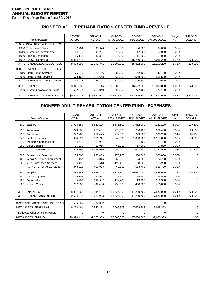For the Fiscal Year Ending June 30, 2016

# **PIONEER ADULT REHABILITATION CENTER FUND - REVENUE**

|                                      | 2012-2013     | 2013-2014     | 2014-2015             | 2014-2015           | 2015-2016     | Change   | <b>CHANGE IN</b> |
|--------------------------------------|---------------|---------------|-----------------------|---------------------|---------------|----------|------------------|
| <b>Account Category</b>              | <b>ACTUAL</b> | <b>ACTUAL</b> | <b>INITIAL BUDGET</b> | <b>FINAL BUDGET</b> | ANNUAL BUDGET | %        | <b>DOLLARS</b>   |
| 1000 - LOCAL REVENUE SOURCES:        |               |               |                       |                     |               |          |                  |
| 1300 Tuitions and Fees               | 47,964        | 45,326        | 46,800                | 34,000              | 34,000        | $0.00\%$ |                  |
| 1510 Interest on Investments         | 14,548        | 11,231        | 15,000                | 17,000              | 17,000        | $0.00\%$ | 0                |
| 1920 Private Donations               | 16,111        | 13,337        | 15,000                | 11,000              | 11,000        | $0.00\%$ |                  |
| 1992 PARC - Contracts                | 8,014,676     | 12,173,447    | 12,017,000            | 15,760,000          | 16,038,200    | 1.77%    | 278,200          |
| TOTAL REVENUE LOCAL SOURCES          | 8,093,299     | 12,243,341    | 12,093,800            | 15,822,000          | 16,100,200    | 1.76%    | 278,200          |
| 3000 - REVENUE STATE SOURCES         |               |               |                       |                     |               |          |                  |
| 3910 State Rehab Services            | 175,075       | 258,156       | 282,000               | 142,100             | 142,100       | $0.00\%$ |                  |
| <b>State Social Services</b><br>3900 | 573,161       | 528,648       | 530,000               | 558,500             | 558,500       | $0.00\%$ | 0                |
| TOTAL REVENUE STATE SOURCES          | 748,236       | 786,804       | 812,000               | 700,600             | 700,600       | $0.00\%$ | 0                |
| <b>TOTAL REVENUE</b>                 | 8,841,535     | 13,030,145    | 12,905,800            | 16,522,600          | 16,800,800    | 1.68%    | 278,200          |
| 5200 Interfund Transfer (fr Found)   | 662,677       | 631,848       | 620,500               | 777,100             | 777,100       | $0.00\%$ | 0                |
| TOTAL REVENUE & OTHER SOURCES        | \$9,504,212   | \$13,661,993  | \$13,526,300          | \$17,299,700        | \$17,577,900  | 1.61%    | \$278,200        |

#### **PIONEER ADULT REHABILITATION CENTER FUND - EXPENSES**

|     | <b>Account Category</b>              | 2012-2013<br><b>ACTUAL</b> | 2013-2014<br><b>ACTUAL</b> | 2014-2015<br><b>INITIAL BUDGET</b> | 2014-2015<br><b>FINAL BUDGET</b> | 2015-2016<br>ANNUAL BUDGET | Change<br>% | <b>CHANGE IN</b><br><b>DOLLARS</b> |
|-----|--------------------------------------|----------------------------|----------------------------|------------------------------------|----------------------------------|----------------------------|-------------|------------------------------------|
| 100 | Salaries                             | 3,973,359                  | 3,660,225                  | 3,888,500                          | 3,982,000                        | 4,181,100                  | 5.00%       | 199,100                            |
| 210 | Retirement                           | 223,385                    | 233,451                    | 270,600                            | 266,100                          | 279,400                    | 5.00%       | 13,300                             |
| 220 | Social Security                      | 297,265                    | 272,425                    | 272,500                            | 293,500                          | 308,200                    | 5.01%       | 14,700                             |
| 240 | Health Insurance                     | 994,690                    | 901,711                    | 948,300                            | 1,053,800                        | 1,117,000                  | 6.00%       | 63,200                             |
| 270 | <b>Workers Compensation</b>          | 54,612                     | 21,034                     | <sup>0</sup>                       | 21,100                           | 21,100                     | 0.00%       | 0                                  |
| 290 | <b>Other Benefits</b>                | 36,339                     | 51,015                     | 65,000                             | 17,800                           | 17,800                     | 0.00%       |                                    |
|     | <b>TOTAL BENEFITS</b>                | 1,606,291                  | 1,479,636                  | 1,556,400                          | 1,652,300                        | 1,743,500                  | 5.52%       | 91,200                             |
| 300 | <b>Professional Services</b>         | 285,066                    | 297,439                    | 275,200                            | 350,800                          | 350,800                    | 0.00%       | 0                                  |
| 400 | Repair / Rental of Equipment         | 61,457                     | 37,016                     | 62,000                             | 24,700                           | 24.700                     | 0.00%       | 0                                  |
| 500 | Misc. Purchased Services             | 96,492                     | 91,548                     | 125,400                            | 158,200                          | 158,200                    | 0.00%       | 0                                  |
|     | TOTAL PURCHASED SERV.                | 443,015                    | 426,003                    | 462,600                            | 533,700                          | 533,700                    | 0.00%       | $\Omega$                           |
| 600 | <b>Supplies</b>                      | 2,480,858                  | 6,668,302                  | 7,176,800                          | 10,537,000                       | 10,524,900                 | $-0.11%$    | $-12,100$                          |
| 700 | Misc Equipment                       | 15,152                     | 10,597                     | 19,800                             | 24,800                           | 24,800                     | 0.00%       | $\Omega$                           |
| 780 | Depreciation                         | 135,982                    | 119,902                    | 172,200                            | 119,900                          | 119,900                    | 0.00%       |                                    |
| 800 | <b>Indirect Costs</b>                | 252,605                    | 449,436                    | 250,000                            | 450,000                          | 450,000                    | 0.00%       | 0                                  |
|     |                                      |                            |                            |                                    |                                  |                            |             |                                    |
|     | <b>TOTAL EXPENSES</b>                | 8,907,262                  | 12,814,101                 | 13,526,300                         | 17,299,700                       | 17,577,900                 | 1.61%       | 278,200                            |
|     | TOTAL REVENUE AND OTHER SOUR         | 9,504,212                  | 13,661,993                 | 13,526,300                         | 17,299,700                       | 17,577,900                 | 1.61%       | 278,200                            |
|     | INCREASE / (DECREASE) IN NET ASS     | 596,950                    | 847,892                    | 0                                  | $\Omega$                         | $\Omega$                   |             | 0                                  |
|     | <b>NET ASSETS, BEGINNING</b>         | 6,223,461                  | 6,820,411                  | 7,668,303                          | 7,668,303                        | 7,668,303                  |             | 0                                  |
|     | <b>Budgeted Change in Net Assets</b> | 0                          | 0                          | 0                                  | 0                                | 0                          |             | 0                                  |
|     | <b>NET ASSETS, ENDING</b>            | \$6,820,411                | \$7,668,303                | \$7,668,303                        | \$7,668,303                      | \$7,668,303                |             | \$0                                |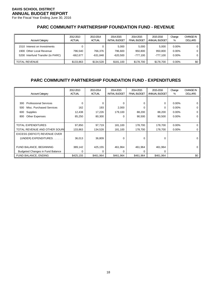For the Fiscal Year Ending June 30, 2016

# **PARC COMMUNITY PARTNERSHIP FOUNDATION FUND - REVENUE**

| <b>Account Category</b>                                                                       | 2012-2013<br><b>ACTUAL</b> | 2013-2014<br><b>ACTUAL</b> | 2014-2015<br><b>INITIAL BUDGET</b> | 2014-2015<br><b>FINAL BUDGET</b> | 2015-2016<br>ANNUAL BUDGET   | Change<br>%                      | <b>CHANGE IN</b><br><b>DOLLARS</b> |
|-----------------------------------------------------------------------------------------------|----------------------------|----------------------------|------------------------------------|----------------------------------|------------------------------|----------------------------------|------------------------------------|
| 1510 Interest on Investments<br>1900 Other Local Revenue<br>5200 Interfund Transfer (to PARC) | 796.540<br>$-662.677$      | 766.376<br>-631.848        | 5.000<br>796.600<br>-620.500       | 5.000<br>950.800<br>-777.100     | 5.000<br>950.800<br>-777.100 | $0.00\%$<br>$0.00\%$<br>$0.00\%$ |                                    |
| <b>TOTAL REVENUE</b>                                                                          | \$133,863                  | \$134,528                  | \$181,100                          | \$178.700                        | \$178.700                    | $0.00\%$                         | \$0                                |

# **PARC COMMUNITY PARTNERSHIP FOUNDATION FUND - EXPENDITURES**

| <b>Account Category</b>                 | 2012-2013<br><b>ACTUAL</b> | 2013-2014<br><b>ACTUAL</b> | 2014-2015<br><b>INITIAL BUDGET</b> | 2014-2015<br><b>FINAL BUDGET</b> | 2015-2016<br>ANNUAL BUDGET | Change<br>% | <b>CHANGE IN</b><br><b>DOLLARS</b> |
|-----------------------------------------|----------------------------|----------------------------|------------------------------------|----------------------------------|----------------------------|-------------|------------------------------------|
|                                         |                            |                            |                                    |                                  |                            |             |                                    |
| <b>Professional Services</b><br>300     | $\Omega$                   | 0                          | 0                                  | $\mathbf 0$                      | 0                          | $0.00\%$    | 0                                  |
| Misc. Purchased Services<br>500         | 162                        | 193                        | 2,000                              | 0                                | 0                          | $0.00\%$    | 0                                  |
| Supplies<br>600                         | 12,438                     | 17,226                     | 179,100                            | 88,200                           | 88,200                     | 0.00%       | 0                                  |
| Other Expenses<br>800                   | 85,250                     | 80,300                     | 0                                  | 90,500                           | 90,500                     | 0.00%       | 0                                  |
|                                         |                            |                            |                                    |                                  |                            |             |                                    |
| TOTAL EXPENDITURES                      | 97,850                     | 97,719                     | 181,100                            | 178,700                          | 178,700                    | $0.00\%$    | 0                                  |
| TOTAL REVENUE AND OTHER SOUR(           | 133,863                    | 134,528                    | 181,100                            | 178,700                          | 178,700                    | $0.00\%$    | 0                                  |
| EXCESS (DEFICIT) REVENUE OVER           |                            |                            |                                    |                                  |                            |             |                                    |
| (UNDER) EXPENDITURES                    | 36,013                     | 36,809                     | 0                                  | $\Omega$                         | 0                          |             | 0                                  |
|                                         |                            |                            |                                    |                                  |                            |             |                                    |
| FUND BALANCE, BEGINNING                 | 389,142                    | 425,155                    | 461,964                            | 461,964                          | 461,964                    |             | 0                                  |
| <b>Budgeted Changes in Fund Balance</b> |                            |                            |                                    | $\Omega$                         | 0                          |             |                                    |
| <b>FUND BALANCE, ENDING</b>             | \$425,155                  | \$461,964                  | \$461,964                          | \$461,964                        | \$461,964                  |             | \$0                                |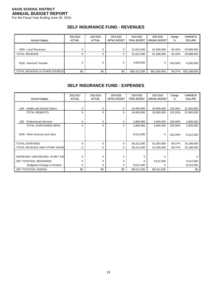For the Fiscal Year Ending June 30, 2016

## **SELF INSURANCE FUND - REVENUES**

| <b>Account Category</b>                     | 2012-2013<br><b>ACTUAL</b> | 2013-2014<br><b>ACTUAL</b> | 2014-2015<br><b>INITIAL BUDGET</b> | 2014-2015<br><b>FINAL BUDGET</b> | 2015-2016<br>ANNUAL BUDGET | Change<br>%      | CHANGE IN<br><b>DOLLARS</b> |
|---------------------------------------------|----------------------------|----------------------------|------------------------------------|----------------------------------|----------------------------|------------------|-----------------------------|
| 1900 Local Revenues<br><b>TOTAL REVENUE</b> |                            |                            |                                    | 31,812,000<br>31,812,000         | 61,500,000<br>61,500,000   | 93.32%<br>93.32% | 29,688,000<br>29,688,000    |
| 5200 Interfund Transfer                     |                            |                            |                                    | 4,500,000                        | 0                          | $-100.00\%$      | $-4,500,000$                |
| TOTAL REVENUE & OTHER SOURCES               | \$0                        | \$0                        | \$0                                | \$36,312,000                     | \$61,500,000               | 69.37%           | \$25,188,000                |

#### **SELF INSURANCE FUND - EXPENSES**

| <b>Account Category</b>                | 2012-2013<br><b>ACTUAL</b> | 2013-2014<br><b>ACTUAL</b> | 2014-2015<br><b>INITIAL BUDGET</b> | 2014-2015<br><b>FINAL BUDGET</b> | 2015-2016<br>ANNUAL BUDGET | Change<br>% | <b>CHANGE IN</b><br><b>DOLLARS</b> |
|----------------------------------------|----------------------------|----------------------------|------------------------------------|----------------------------------|----------------------------|-------------|------------------------------------|
|                                        |                            |                            |                                    |                                  |                            |             |                                    |
| <b>Health and Dental Claims</b><br>240 | 0                          | 0                          | 0                                  | 24,000,000                       | 55,900,000                 | 132.92%     | 31,900,000                         |
| <b>TOTAL BENEFITS</b>                  | $\Omega$                   | 0                          | 0                                  | 24,000,000                       | 55,900,000                 | 132.92%     | 31,900,000                         |
|                                        |                            |                            |                                    |                                  |                            |             |                                    |
| <b>Professional Services</b><br>300    | $\Omega$                   | 0                          | 0                                  | 2,800,000                        | 5,600,000                  | 100.00%     | 2,800,000                          |
| TOTAL PURCHASED SERV.                  | $\Omega$                   | $\Omega$                   | 0                                  | 2,800,000                        | 5,600,000                  | 100.00%     | 2,800,000                          |
|                                        |                            |                            |                                    |                                  |                            |             |                                    |
| Other Sources and Uses<br>5200         |                            |                            |                                    | 9,512,000                        | 0                          | $-100.00\%$ | $-9,512,000$                       |
|                                        |                            |                            |                                    |                                  |                            |             |                                    |
| <b>TOTAL EXPENSES</b>                  | $\Omega$                   | 0                          | 0                                  | 36,312,000                       | 61,500,000                 | 69.37%      | 25,188,000                         |
| TOTAL REVENUE AND OTHER SOURC          | $\Omega$                   | 0                          | 0                                  | 36,312,000                       | 61,500,000                 | 69.37%      | 25,188,000                         |
|                                        |                            |                            |                                    |                                  |                            |             |                                    |
| INCREASE / (DECREASE) IN NET ASS       | $\Omega$                   | 0                          | 0                                  | 0                                | $\Omega$                   |             | O                                  |
| <b>NET POSITION, BEGINNING</b>         | $\Omega$                   | 0                          | 0                                  | $\Omega$                         | 9,512,000                  |             | 9,512,000                          |
| <b>Budgeted Change in Position</b>     | $\Omega$                   | 0                          |                                    | 9,512,000                        | $\Omega$                   |             | $-9,512,000$                       |
| NET POSITION, ENDING                   | \$0                        | \$0                        | \$0                                | \$9,512,000                      | \$9,512,000                |             | \$0                                |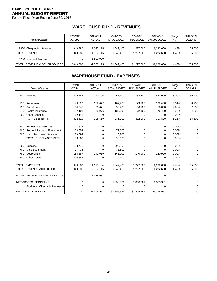For the Fiscal Year Ending June 30, 2016

# **WAREHOUSE FUND - REVENUES**

| <b>Account Category</b>                  | 2012-2013<br><b>ACTUAL</b> | 2013-2014<br><b>ACTUAL</b> | 2014-2015<br><b>INITIAL BUDGET</b> | 2014-2015<br><b>FINAL BUDGET</b> | 2015-2016<br>ANNUAL BUDGET | Change<br>% | <b>CHANGE IN</b><br><b>DOLLARS</b> |
|------------------------------------------|----------------------------|----------------------------|------------------------------------|----------------------------------|----------------------------|-------------|------------------------------------|
| 1900 Charges for Services                | 949.880                    | 1.037.115                  | 1.042.400                          | 1,227,600                        | 1.282.600                  | 4.48%       | 55,000                             |
| <b>TOTAL REVENUE</b>                     | 949.880                    | 1.037.115                  | 1.042.400                          | 1.227.600                        | 1.282.600                  | 4.48%       | 55,000                             |
| 5200 Interfund Transfer                  |                            | 1.500.000                  |                                    |                                  |                            |             |                                    |
| <b>TOTAL REVENUE &amp; OTHER SOURCES</b> | \$949,880                  | \$2,537,115                | \$1,042,400                        | \$1,227,600                      | \$1,282,600                | 4.48%       | \$55,000                           |

# **WAREHOUSE FUND - EXPENSES**

|     |                                  | 2012-2013     | 2013-2014     | 2014-2015             | 2014-2015           | 2015-2016     | Change | <b>CHANGE IN</b> |
|-----|----------------------------------|---------------|---------------|-----------------------|---------------------|---------------|--------|------------------|
|     | <b>Account Category</b>          | <b>ACTUAL</b> | <b>ACTUAL</b> | <b>INITIAL BUDGET</b> | <b>FINAL BUDGET</b> | ANNUAL BUDGET | %      | <b>DOLLARS</b>   |
| 100 | Salaries                         | 409,783       | 740,796       | 267,400               | 784,700             | 823,900       | 5.00%  | 39,200           |
| 210 | Retirement                       | 149,022       | 162,672       | 107,700               | 173,700             | 182,400       | 5.01%  | 8,700            |
| 220 | Social Security                  | 54,545        | 56,671        | 33,700                | 56,200              | 59,000        | 4.98%  | 2,800            |
| 240 | <b>Health Insurance</b>          | 187,101       | 76,976        | 139,600               | 72,100              | 76,400        | 5.96%  | 4,300            |
| 290 | <b>Other Benefits</b>            | 12,142        | 0             | 0                     | 0                   | 0             | 0.00%  | 0                |
|     | <b>TOTAL BENEFITS</b>            | 402,810       | 296,319       | 281,000               | 302,000             | 317,800       | 5.23%  | 15,800           |
|     |                                  |               |               |                       |                     |               |        |                  |
| 300 | <b>Professional Services</b>     | 319           | 0             | 200                   | 0                   | 0             | 0.00%  | 0                |
| 400 | Repair / Rental of Equipment     | 63,653        | $\Omega$      | 72,600                | 0                   | $\Omega$      | 0.00%  | 0                |
| 500 | Misc. Purchased Services         | 29,694        | 0             | 20,800                | 0                   | 0             | 0.00%  | 0                |
|     | TOTAL PURCHASED SERV.            | 93,666        | $\Omega$      | 93,600                | 0                   | $\Omega$      | 0.00%  | $\Omega$         |
|     |                                  |               |               |                       |                     |               |        |                  |
| 600 | Supplies                         | 158,478       | $\Omega$      | 200,500               | 0                   | 0             | 0.00%  | 0                |
| 700 | Misc Equipment                   | 27,438        | U             | 36,800                | $\Omega$            | 0             | 0.00%  | 0                |
| 780 | Depreciation                     | 158,387       | 141,019       | 163,000               | 140,900             | 140,900       | 0.00%  | 0                |
| 800 | <b>Other Costs</b>               | $-300,682$    | $\Omega$      | 100                   | $\Omega$            | $\Omega$      | 0.00%  | 0                |
|     |                                  |               |               |                       |                     |               |        |                  |
|     | <b>TOTAL EXPENSES</b>            | 949,880       | 1,178,134     | 1,042,400             | 1,227,600           | 1,282,600     | 4.48%  | 55,000           |
|     | TOTAL REVENUE AND OTHER SOURC    | 949,880       | 2,537,115     | 1,042,400             | 1,227,600           | 1,282,600     | 4.48%  | 55,000           |
|     | INCREASE / (DECREASE) IN NET ASS | 0             | 1,358,981     | $\Omega$              | 0                   | $\Omega$      |        | 0                |
|     | NET ASSETS, BEGINNING            | 0             | 0             | 1,358,981             | 1,358,981           | 1,358,981     |        | 0                |
|     | Budgeted Change in Net Asset     | 0             | $\Omega$      | 0                     | 0                   | 0             |        | 0                |
|     | NET ASSETS, ENDING               | \$0           | \$1,358,981   | \$1,358,981           | \$1,358,981         | \$1,358,981   |        | \$0              |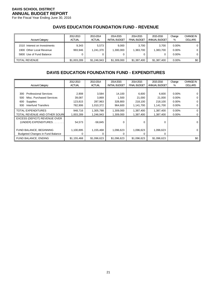For the Fiscal Year Ending June 30, 2016

# **DAVIS EDUCATION FOUNDATION FUND - REVENUE**

| <b>Account Category</b>                                                              | 2012-2013<br><b>ACTUAL</b> | 2013-2014<br><b>ACTUAL</b> | 2014-2015<br><b>INITIAL BUDGET</b> | 2014-2015<br><b>FINAL BUDGET</b> | 2015-2016<br>ANNUAL BUDGET | Change<br>%                      | <b>CHANGE IN</b><br><b>DOLLARS</b> |
|--------------------------------------------------------------------------------------|----------------------------|----------------------------|------------------------------------|----------------------------------|----------------------------|----------------------------------|------------------------------------|
| 1510 Interest on Investments<br>1900 Other Local Revenue<br>5800 Use of Fund Balance | 9.343<br>993.946           | 5.573<br>1.241.370         | 9.000<br>1,300,000<br>0            | 3.700<br>1,383,700               | 3.700<br>.383.700          | $0.00\%$<br>$0.00\%$<br>$0.00\%$ | 0 <sup>1</sup><br>0<br>0 l         |
| <b>TOTAL REVENUE</b>                                                                 | \$1,003,289                | \$1.246.943                | \$1,309,000                        | \$1,387,400                      | \$1,387,400                | $0.00\%$                         | \$0 <sub>1</sub>                   |

# **DAVIS EDUCATION FOUNDATION FUND - EXPENDITURES**

|                                         | 2012-2013     | 2013-2014     | 2014-2015             | 2014-2015           | 2015-2016     | Change   | <b>CHANGE IN</b> |
|-----------------------------------------|---------------|---------------|-----------------------|---------------------|---------------|----------|------------------|
| <b>Account Category</b>                 | <b>ACTUAL</b> | <b>ACTUAL</b> | <b>INITIAL BUDGET</b> | <b>FINAL BUDGET</b> | ANNUAL BUDGET | %        | <b>DOLLARS</b>   |
|                                         |               |               |                       |                     |               |          |                  |
| <b>Professional Services</b><br>300     | 2,908         | 3,584         | 14,100                | 6,600               | 6,600         | $0.00\%$ |                  |
| Misc. Purchased Services<br>500         | 39,087        | 3,869         | 1,500                 | 21,000              | 21,000        | 0.00%    |                  |
| Supplies<br>600                         | 123,815       | 287,963       | 328,800               | 218,100             | 218.100       | 0.00%    |                  |
| Interfund Transfers<br>930              | 782,906       | 1,010,372     | 964.600               | 1,141,700           | 1,141,700     | $0.00\%$ |                  |
| <b>TOTAL EXPENDITURES</b>               | 948.716       | 1,305,788     | 1,309,000             | 1,387,400           | 1,387,400     | 0.00%    | 0                |
| TOTAL REVENUE AND OTHER SOURC           | 1,003,289     | 1.246.943     | 1,309,000             | 1,387,400           | 1,387,400     | $0.00\%$ |                  |
| EXCESS (DEFICIT) REVENUE OVER           |               |               |                       |                     |               |          |                  |
| (UNDER) EXPENDITURES.                   | 54,573        | $-58,845$     | 0                     | 0                   | $\Omega$      |          |                  |
|                                         |               |               |                       |                     |               |          |                  |
| FUND BALANCE, BEGINNING                 | 1,100,895     | 1,155,468     | 1,096,623             | 1,096,623           | 1,096,623     |          | 0                |
| <b>Budgeted Changes in Fund Balance</b> |               | 0             | 0                     | 0                   | 0             |          |                  |
| FUND BALANCE, ENDING                    | \$1,155,468   | \$1,096,623   | \$1,096,623           | \$1,096,623         | \$1,096,623   |          | \$0              |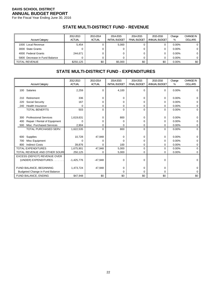For the Fiscal Year Ending June 30, 2016

# **STATE MULTI-DISTRICT FUND - REVENUE**

| <b>Account Category</b>       | 2012-2013<br><b>ACTUAL</b> | 2013-2014<br>ACTUAL | 2014-2015<br><b>INITIAL BUDGET</b> | 2014-2015<br><b>FINAL BUDGET</b> | 2015-2016<br>ANNUAL BUDGET | Change<br>% | <b>CHANGE IN</b><br><b>DOLLARS</b> |
|-------------------------------|----------------------------|---------------------|------------------------------------|----------------------------------|----------------------------|-------------|------------------------------------|
| 1000 Local Revenue            | 5.454                      |                     | 5.000                              |                                  |                            | $0.00\%$    |                                    |
| 3000 State Grants             |                            |                     | 0                                  |                                  |                            | $0.00\%$    | 0                                  |
| 4000 Federal Grants           | 244.671                    |                     | 0                                  |                                  |                            | $0.00\%$    | 0 l                                |
| 5800 Decrease in Fund Balance |                            |                     |                                    |                                  |                            | $0.00\%$    |                                    |
| II TOTAL REVENUE              | \$250.125                  | \$0                 | \$5.000                            | \$0                              | \$0                        | $0.00\%$    | \$0                                |

# **STATE MULTI-DISTRICT FUND - EXPENDITURES**

|     |                                 | 2012-2013     | 2013-2014     | 2014-2015             | 2014-2015           | 2015-2016     | Change | <b>CHANGE IN</b> |
|-----|---------------------------------|---------------|---------------|-----------------------|---------------------|---------------|--------|------------------|
|     | <b>Account Category</b>         | <b>ACTUAL</b> | <b>ACTUAL</b> | <b>INITIAL BUDGET</b> | <b>FINAL BUDGET</b> | ANNUAL BUDGET | %      | <b>DOLLARS</b>   |
|     | 100 Salaries                    | 2,259         | 0             | 4,100                 | $\mathbf 0$         | $\Omega$      | 0.00%  | 0                |
| 210 | Retirement                      | 336           | 0             | 0                     | 0                   | $\Omega$      | 0.00%  | 0                |
| 220 | Social Security                 | 167           | U             | 0                     | 0                   | 0             | 0.00%  | 0                |
| 240 | <b>Health Insurance</b>         | $\Omega$      | 0             | 0                     | 0                   | 0             | 0.00%  | 0                |
|     | <b>TOTAL BENEFITS</b>           | 503           | 0             | $\mathbf 0$           | $\mathbf 0$         | $\Omega$      | 0.00%  | 0                |
|     |                                 |               |               |                       |                     |               |        |                  |
| 300 | <b>Professional Services</b>    | 1,619,631     | 0             | 800                   | 0                   | 0             | 0.00%  | 0                |
| 400 | Repair / Rental of Equipment    | $\Omega$      | 0             | $\Omega$              | 0                   | 0             | 0.00%  | 0                |
| 500 | Misc. Purchased Services        | 2,904         | 0             | 0                     | 0                   | 0             | 0.00%  | 0                |
|     | TOTAL PURCHASED SERV.           | 1,622,535     | 0             | 800                   | $\Omega$            | $\Omega$      | 0.00%  | $\Omega$         |
|     |                                 |               |               |                       |                     |               |        |                  |
| 600 | Supplies                        | 10,728        | 47,948        | $\Omega$              | $\mathbf 0$         | 0             | 0.00%  | $\Omega$         |
| 700 | Misc Equipment                  | $\Omega$      |               | 0                     | 0                   | 0             | 0.00%  | 0                |
| 800 | <b>Indirect Costs</b>           | 39,876        | 0             | 100                   | 0                   | 0             | 0.00%  | 0                |
|     | <b>TOTAL EXPENDITURES</b>       | 1,675,901     | 47,948        | 5,000                 | $\mathbf 0$         | $\Omega$      | 0.00%  | $\Omega$         |
|     | TOTAL REVENUE AND OTHER SOUR    | 250,125       | 0             | 5,000                 | 0                   | 0             | 0.00%  | 0                |
|     | EXCESS (DEFICIT) REVENUE OVER   |               |               |                       |                     |               |        |                  |
|     | (UNDER) EXPENDITURES.<br>.      | $-1,425,776$  | $-47,948$     | 0                     | 0                   | 0             |        | 0                |
|     |                                 |               |               |                       |                     |               |        |                  |
|     | FUND BALANCE, BEGINNING         | 1,473,724     | 47,948        | 0                     | 0                   | 0             |        | U                |
|     | Budgeted Change in Fund Balance |               |               | 0                     | $\mathbf 0$         | 0             |        | 0                |
|     | FUND BALANCE, ENDING            | \$47,948      | \$0           | \$0                   | \$0                 | \$0           |        | \$0              |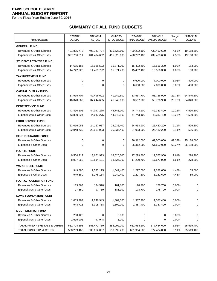For the Fiscal Year Ending June 30, 2016

# **SUMMARY OF ALL FUND BUDGETS**

|                                      | 2012-2013     | 2013-2014     | 2014-2015             | 2014-2015           | 2015-2016     | Change    | <b>CHANGE IN</b> |
|--------------------------------------|---------------|---------------|-----------------------|---------------------|---------------|-----------|------------------|
| <b>Account Category</b>              | <b>ACTUAL</b> | <b>ACTUAL</b> | <b>INITIAL BUDGET</b> | <b>FINAL BUDGET</b> | ANNUAL BUDGET | %         | <b>DOLLARS</b>   |
| <b>GENERAL FUND:</b>                 |               |               |                       |                     |               |           |                  |
| <b>Revenues &amp; Other Sources</b>  | 401,805,772   | 408,141,724   | 415,628,600           | 420,292,100         | 439,460,600   | 4.56%     | 19,168,500       |
| Expenditures & Other Uses            | 397,766,511   | 401,494,652   | 415,628,600           | 420,292,100         | 439,460,600   | 4.56%     | 19,168,500       |
| <b>STUDENT ACTIVITIES FUND:</b>      |               |               |                       |                     |               |           |                  |
| <b>Revenues &amp; Other Sources</b>  | 14,635,186    | 15,038,522    | 15,371,700            | 15,402,400          | 15,556,300    | 1.00%     | 153,900          |
| Expenditures & Other Uses            | 14,742,920    | 14,469,792    | 15,371,700            | 15,402,400          | 15,556,300    | 1.00%     | 153,900          |
| <b>TAX INCREMENT FUND</b>            |               |               |                       |                     |               |           |                  |
| <b>Revenues &amp; Other Sources</b>  | $\mathbf 0$   | 0             | 0                     | 6,600,000           | 7,000,000     | 6.06%     | 400,000          |
| Expenditures & Other Uses            | $\Omega$      | 0             | 0                     | 6,600,000           | 7,000,000     | 6.06%     | 400,000          |
| <b>CAPITAL OUTLAY FUND:</b>          |               |               |                       |                     |               |           |                  |
| <b>Revenues &amp; Other Sources</b>  | 37,915,704    | 42,496,602    | 41,249,600            | 83,567,700          | 58,726,900    | -29.73%   | $-24,840,800$    |
| Expenditures & Other Uses            | 46,370,869    | 37,244,655    | 41,249,600            | 83,567,700          | 58,726,900    | $-29.73%$ | $-24,840,800$    |
| <b>DEBT SERVICE FUND:</b>            |               |               |                       |                     |               |           |                  |
| <b>Revenues &amp; Other Sources</b>  | 43,490,106    | 44,047,275    | 44,743,100            | 44,743,100          | 49,333,400    | 10.26%    | 4,590,300        |
| Expenditures & Other Uses            | 43,890,824    | 44,047,275    | 44,743,100            | 44,743,100          | 49,333,400    | 10.26%    | 4,590,300        |
| <b>FOOD SERVICE FUND:</b>            |               |               |                       |                     |               |           |                  |
| Revenues & Other Sources             | 23,016,058    | 24, 167, 087  | 25,035,400            | 24,953,900          | 25,480,200    | 2.11%     | 526,300          |
| Expenditures & Other Uses            | 22,948,730    | 23,961,993    | 25,035,400            | 24,953,900          | 25,480,200    | 2.11%     | 526,300          |
| <b>SELF INSURANCE FUND:</b>          |               |               |                       |                     |               |           |                  |
| <b>Revenues &amp; Other Sources</b>  | 0             | 0             | 0                     | 36,312,000          | 61,500,000    | 69.37%    | 25,188,000       |
| Expenses & Other Uses                | $\Omega$      | $\Omega$      | 0                     | 36,312,000          | 61,500,000    | 69.37%    | 25,188,000       |
| P.A.R.C. FUND:                       |               |               |                       |                     |               |           |                  |
| Revenues & Other Sources             | 9,504,212     | 13,661,993    | 13,526,300            | 17,299,700          | 17,577,900    | 1.61%     | 278,200          |
| Expenses & Other Uses                | 8,907,262     | 12,814,101    | 13,526,300            | 17,299,700          | 17,577,900    | 1.61%     | 278,200          |
| <b>WAREHOUSE FUND:</b>               |               |               |                       |                     |               |           |                  |
| Revenues & Other Sources             | 949,880       | 2,537,115     | 1,042,400             | 1,227,600           | 1,282,600     | 4.48%     | 55,000           |
| Expenses & Other Uses                | 949.880       | 1,178,134     | 1,042,400             | 1,227,600           | 1,282,600     | 4.48%     | 55,000           |
| P.A.R.C. FOUNDATION FUND:            |               |               |                       |                     |               |           |                  |
| Revenues & Other Sources             | 133,863       | 134,528       | 181,100               | 178,700             | 178,700       | 0.00%     | 0                |
| Expenditures & Other Uses            | 97,850        | 97,719        | 181,100               | 178,700             | 178,700       | 0.00%     | 0                |
| <b>DAVIS FOUNDATION FUND:</b>        |               |               |                       |                     |               |           |                  |
| <b>Revenues &amp; Other Sources</b>  | 1,003,289     | 1,246,943     | 1,309,000             | 1,387,400           | 1,387,400     | 0.00%     | 0                |
| <b>Expenditures &amp; Other Uses</b> | 948,716       | 1,305,788     | 1,309,000             | 1,387,400           | 1,387,400     | 0.00%     | 0                |
| <b>MULTI-DISTRICT FUND:</b>          |               |               |                       |                     |               |           |                  |
| Revenues & Other Sources             | 250,125       | 0             | 5,000                 | 0                   | 0             | 0.00%     | 0                |
| Expenditures & Other Uses            | 1,675,901     | 47,948        | 5,000                 | 0                   | 0             | 0.00%     | 0                |
| TOTAL FUND REVENUES & OTHER          | 532,704,195   | 551,471,789   | 558,092,200           | 651,964,600         | 677,484,000   | 3.91%     | 25,519,400       |
| TOTAL FUND EXP. & OTHER              | 538,299,463   | 536,662,057   | 558,092,200           | 651,964,600         | 677,484,000   | 3.91%     | 25,519,400       |